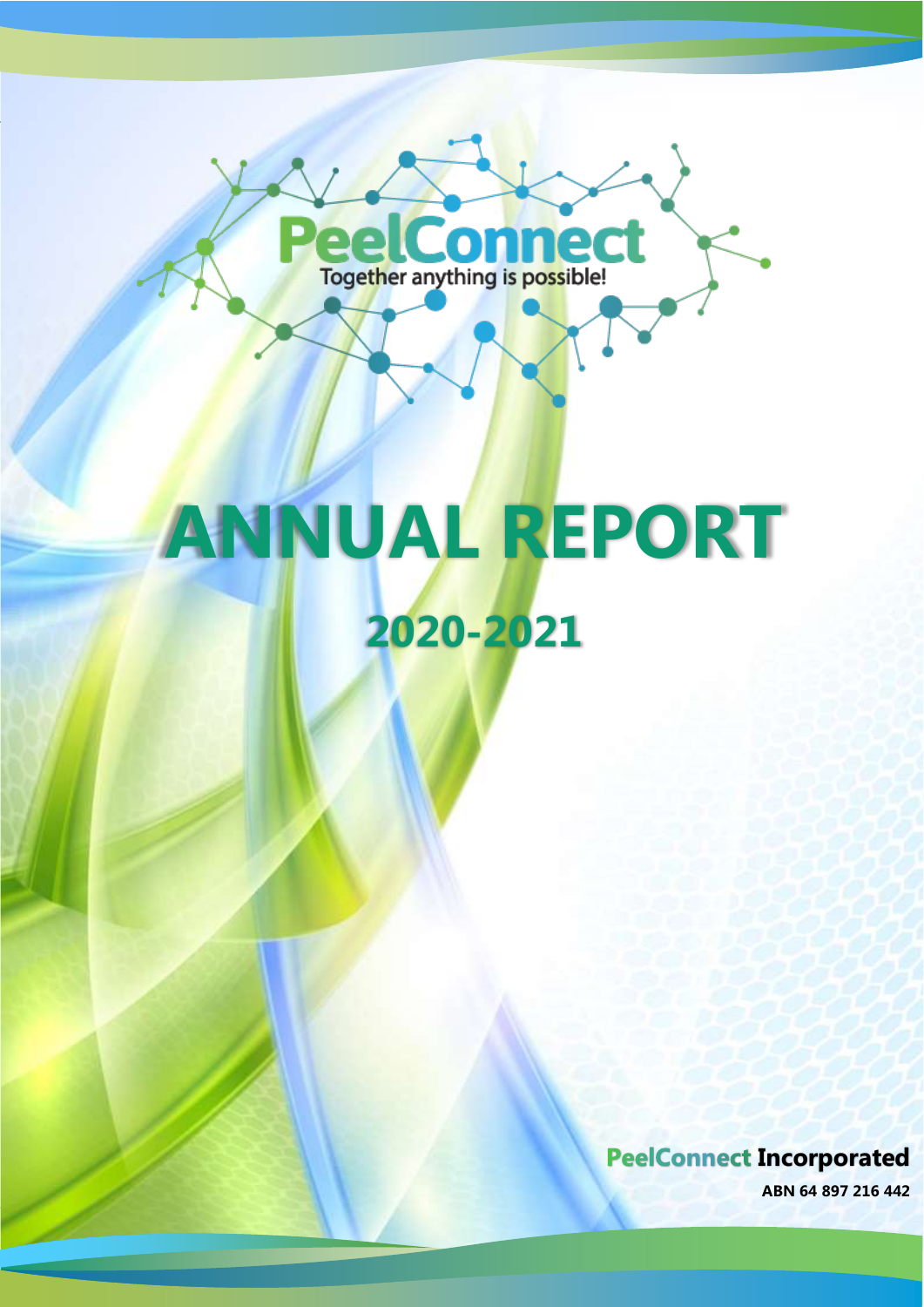

PeelConnect

**Incorporated ABN 64 897 216 442** 0

**PeelConnect Incorporated** 

**ABN 64 897 216 442**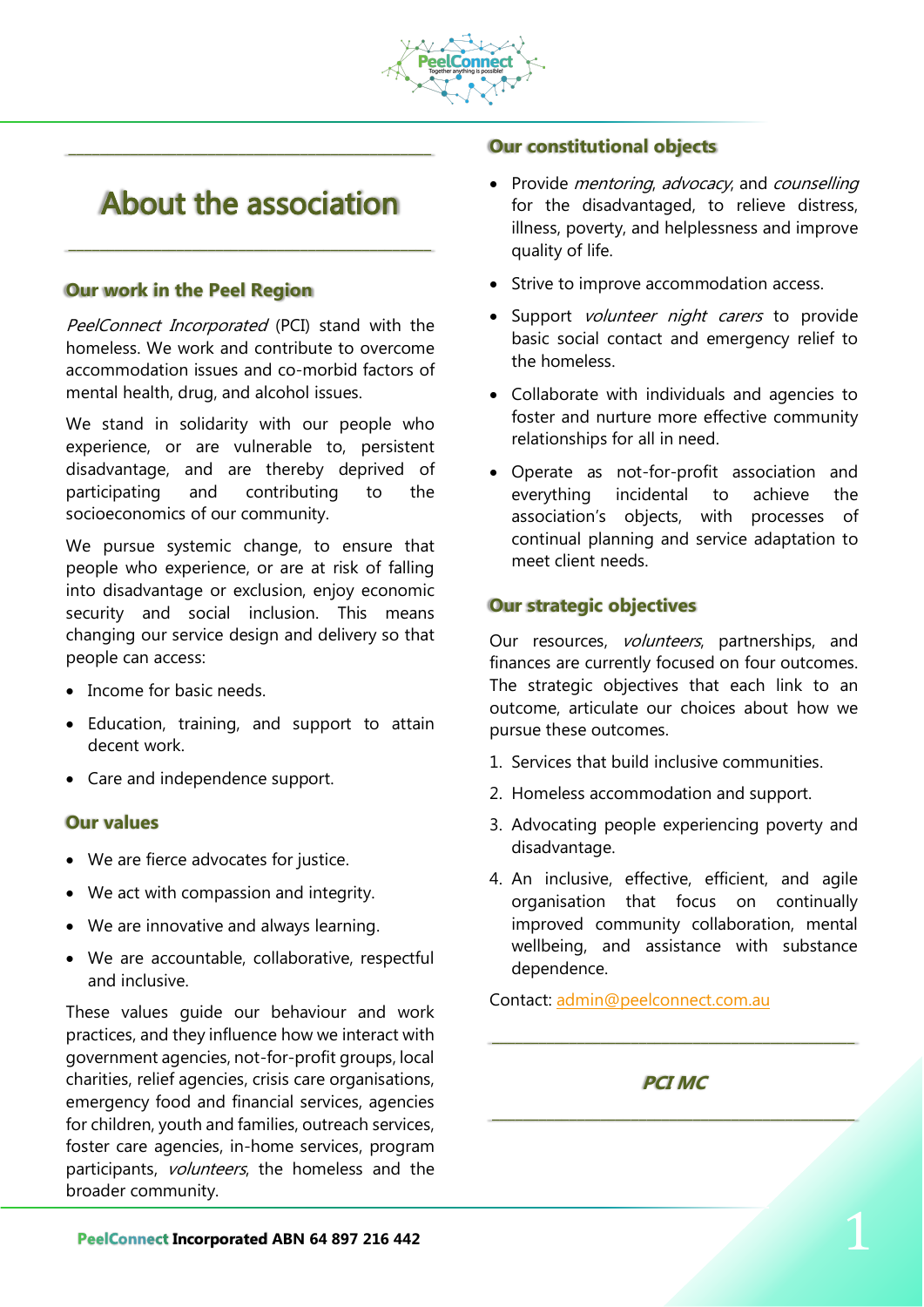

# About the association

\_\_\_\_\_\_\_\_\_\_\_\_\_\_\_\_\_\_\_\_\_\_\_\_\_\_\_\_\_\_\_\_\_\_\_\_\_\_\_\_\_\_\_\_\_\_\_

\_\_\_\_\_\_\_\_\_\_\_\_\_\_\_\_\_\_\_\_\_\_\_\_\_\_\_\_\_\_\_\_\_\_\_\_\_\_\_\_\_\_\_\_\_\_\_

## **Our work in the Peel Region**

PeelConnect Incorporated (PCI) stand with the homeless. We work and contribute to overcome accommodation issues and co-morbid factors of mental health, drug, and alcohol issues.

We stand in solidarity with our people who experience, or are vulnerable to, persistent disadvantage, and are thereby deprived of participating and contributing to the socioeconomics of our community.

We pursue systemic change, to ensure that people who experience, or are at risk of falling into disadvantage or exclusion, enjoy economic security and social inclusion. This means changing our service design and delivery so that people can access:

- Income for basic needs
- Education, training, and support to attain decent work.
- Care and independence support.

### **Our values**

- We are fierce advocates for justice.
- We act with compassion and integrity.
- We are innovative and always learning.
- We are accountable, collaborative, respectful and inclusive.

These values guide our behaviour and work practices, and they influence how we interact with government agencies, not-for-profit groups, local charities, relief agencies, crisis care organisations, emergency food and financial services, agencies for children, youth and families, outreach services, foster care agencies, in-home services, program participants, *volunteers*, the homeless and the broader community.

## **Our constitutional objects**

- Provide *mentoring, advocacy*, and *counselling* for the disadvantaged, to relieve distress, illness, poverty, and helplessness and improve quality of life.
- Strive to improve accommodation access.
- Support *volunteer night carers* to provide basic social contact and emergency relief to the homeless.
- Collaborate with individuals and agencies to foster and nurture more effective community relationships for all in need.
- Operate as not-for-profit association and everything incidental to achieve the association's objects, with processes of continual planning and service adaptation to meet client needs.

## **Our strategic objectives**

Our resources, volunteers, partnerships, and finances are currently focused on four outcomes. The strategic objectives that each link to an outcome, articulate our choices about how we pursue these outcomes.

- 1. Services that build inclusive communities.
- 2. Homeless accommodation and support.
- 3. Advocating people experiencing poverty and disadvantage.
- 4. An inclusive, effective, efficient, and agile organisation that focus on continually improved community collaboration, mental wellbeing, and assistance with substance dependence.

Contact: [admin@peelconnect.com.au](mailto:admin@peelconnect.com.au)

## **PCI MC** \_\_\_\_\_\_\_\_\_\_\_\_\_\_\_\_\_\_\_\_\_\_\_\_\_\_\_\_\_\_\_\_\_\_\_\_\_\_\_\_\_\_\_\_\_\_\_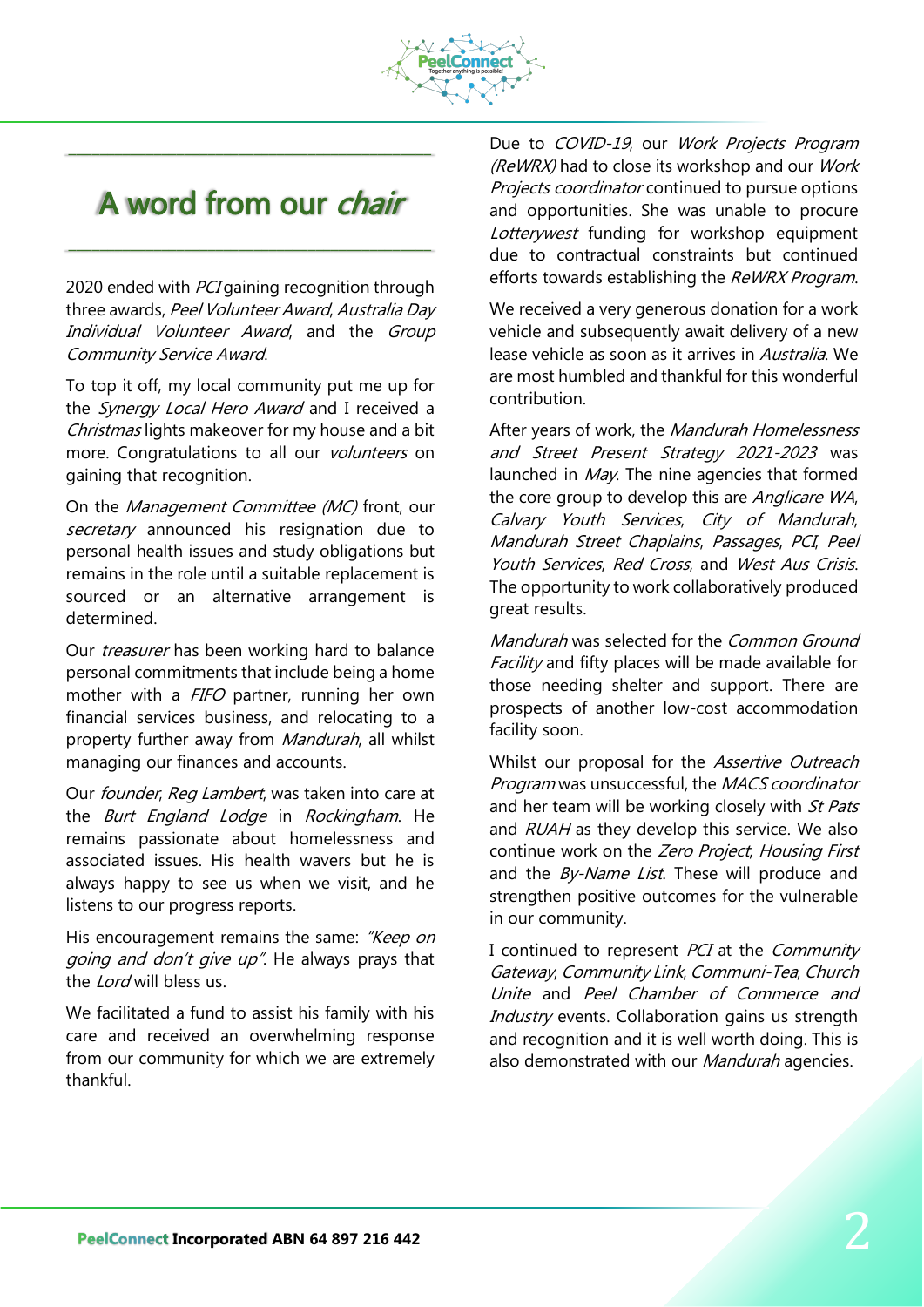

# A word from our *chair*

\_\_\_\_\_\_\_\_\_\_\_\_\_\_\_\_\_\_\_\_\_\_\_\_\_\_\_\_\_\_\_\_\_\_\_\_\_\_\_\_\_\_\_\_\_\_\_

\_\_\_\_\_\_\_\_\_\_\_\_\_\_\_\_\_\_\_\_\_\_\_\_\_\_\_\_\_\_\_\_\_\_\_\_\_\_\_\_\_\_\_\_\_\_\_

2020 ended with *PCI* gaining recognition through three awards, Peel Volunteer Award, Australia Day Individual Volunteer Award, and the Group Community Service Award.

To top it off, my local community put me up for the Synergy Local Hero Award and I received a Christmas lights makeover for my house and a bit more. Congratulations to all our *volunteers* on gaining that recognition.

On the Management Committee (MC) front, our secretary announced his resignation due to personal health issues and study obligations but remains in the role until a suitable replacement is sourced or an alternative arrangement is determined.

Our *treasurer* has been working hard to balance personal commitments that include being a home mother with a FIFO partner, running her own financial services business, and relocating to a property further away from *Mandurah*, all whilst managing our finances and accounts.

Our *founder, Reg Lambert*, was taken into care at the *Burt England Lodge* in *Rockingham*. He remains passionate about homelessness and associated issues. His health wavers but he is always happy to see us when we visit, and he listens to our progress reports.

His encouragement remains the same: "Keep on going and don't give up". He always prays that the *Lord* will bless us.

We facilitated a fund to assist his family with his care and received an overwhelming response from our community for which we are extremely thankful.

Due to COVID-19, our Work Projects Program (ReWRX) had to close its workshop and our Work Projects coordinator continued to pursue options and opportunities. She was unable to procure Lotterywest funding for workshop equipment due to contractual constraints but continued efforts towards establishing the ReWRX Program.

We received a very generous donation for a work vehicle and subsequently await delivery of a new lease vehicle as soon as it arrives in Australia. We are most humbled and thankful for this wonderful contribution.

After years of work, the Mandurah Homelessness and Street Present Strategy 2021-2023 was launched in May. The nine agencies that formed the core group to develop this are Anglicare WA, Calvary Youth Services, City of Mandurah, Mandurah Street Chaplains, Passages, PCI, Peel Youth Services, Red Cross, and West Aus Crisis. The opportunity to work collaboratively produced great results.

Mandurah was selected for the Common Ground Facility and fifty places will be made available for those needing shelter and support. There are prospects of another low-cost accommodation facility soon.

Whilst our proposal for the Assertive Outreach Program was unsuccessful, the MACS coordinator and her team will be working closely with St Pats and RUAH as they develop this service. We also continue work on the Zero Project, Housing First and the By-Name List. These will produce and strengthen positive outcomes for the vulnerable in our community.

I continued to represent PCI at the Community Gateway, Community Link, Communi-Tea, Church Unite and Peel Chamber of Commerce and Industry events. Collaboration gains us strength and recognition and it is well worth doing. This is also demonstrated with our Mandurah agencies.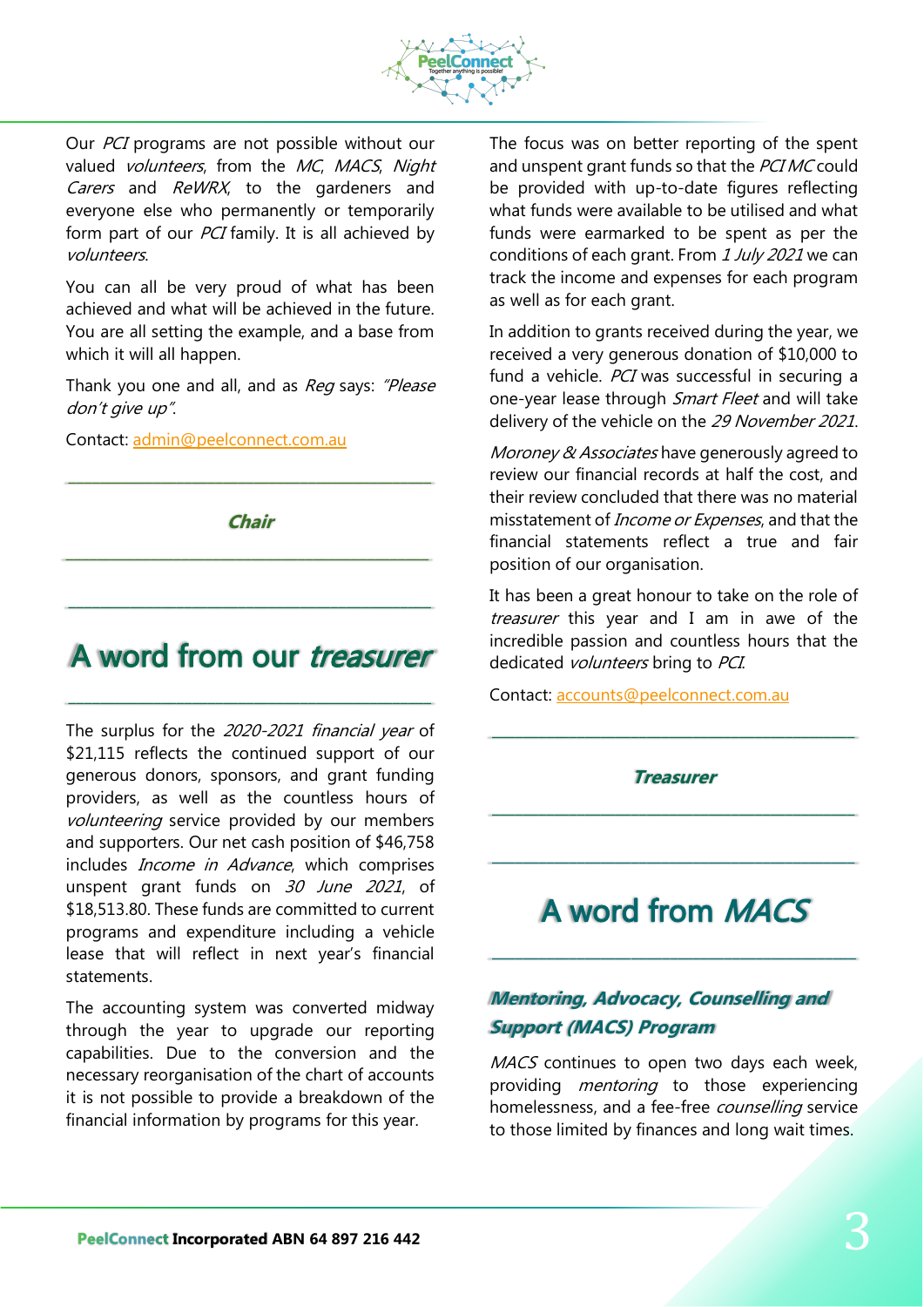

Our *PCI* programs are not possible without our valued volunteers, from the MC, MACS, Night Carers and ReWRX, to the gardeners and everyone else who permanently or temporarily form part of our *PCI* family. It is all achieved by volunteers.

You can all be very proud of what has been achieved and what will be achieved in the future. You are all setting the example, and a base from which it will all happen.

Thank you one and all, and as Req says: "Please don't give up".

Contact: [admin@peelconnect.com.au](mailto:admin@peelconnect.com.au)

**Chair**

\_\_\_\_\_\_\_\_\_\_\_\_\_\_\_\_\_\_\_\_\_\_\_\_\_\_\_\_\_\_\_\_\_\_\_\_\_\_\_\_\_\_\_\_\_\_\_

\_\_\_\_\_\_\_\_\_\_\_\_\_\_\_\_\_\_\_\_\_\_\_\_\_\_\_\_\_\_\_\_\_\_\_\_\_\_\_\_\_\_\_\_\_\_\_

# A word from our *treasurer*

\_\_\_\_\_\_\_\_\_\_\_\_\_\_\_\_\_\_\_\_\_\_\_\_\_\_\_\_\_\_\_\_\_\_\_\_\_\_\_\_\_\_\_\_\_\_\_

\_\_\_\_\_\_\_\_\_\_\_\_\_\_\_\_\_\_\_\_\_\_\_\_\_\_\_\_\_\_\_\_\_\_\_\_\_\_\_\_\_\_\_\_\_\_\_

The surplus for the 2020-2021 financial year of \$21,115 reflects the continued support of our generous donors, sponsors, and grant funding providers, as well as the countless hours of volunteering service provided by our members and supporters. Our net cash position of \$46,758 includes *Income in Advance*, which comprises unspent grant funds on 30 June 2021, of \$18,513.80. These funds are committed to current programs and expenditure including a vehicle lease that will reflect in next year's financial statements.

The accounting system was converted midway through the year to upgrade our reporting capabilities. Due to the conversion and the necessary reorganisation of the chart of accounts it is not possible to provide a breakdown of the financial information by programs for this year.

The focus was on better reporting of the spent and unspent grant funds so that the PCIMC could be provided with up-to-date figures reflecting what funds were available to be utilised and what funds were earmarked to be spent as per the conditions of each grant. From 1 July 2021 we can track the income and expenses for each program as well as for each grant.

In addition to grants received during the year, we received a very generous donation of \$10,000 to fund a vehicle. PCI was successful in securing a one-year lease through Smart Fleet and will take delivery of the vehicle on the 29 November 2021.

Moroney & Associates have generously agreed to review our financial records at half the cost, and their review concluded that there was no material misstatement of *Income or Expenses*, and that the financial statements reflect a true and fair position of our organisation.

It has been a great honour to take on the role of treasurer this year and I am in awe of the incredible passion and countless hours that the dedicated volunteers bring to PCI.

Contact: [accounts@peelconnect.com.au](mailto:accounts@peelconnect.com.au)

**Treasurer**

\_\_\_\_\_\_\_\_\_\_\_\_\_\_\_\_\_\_\_\_\_\_\_\_\_\_\_\_\_\_\_\_\_\_\_\_\_\_\_\_\_\_\_\_\_\_\_

\_\_\_\_\_\_\_\_\_\_\_\_\_\_\_\_\_\_\_\_\_\_\_\_\_\_\_\_\_\_\_\_\_\_\_\_\_\_\_\_\_\_\_\_\_\_\_

\_\_\_\_\_\_\_\_\_\_\_\_\_\_\_\_\_\_\_\_\_\_\_\_\_\_\_\_\_\_\_\_\_\_\_\_\_\_\_\_\_\_\_\_\_\_\_

# A word from MACS

\_\_\_\_\_\_\_\_\_\_\_\_\_\_\_\_\_\_\_\_\_\_\_\_\_\_\_\_\_\_\_\_\_\_\_\_\_\_\_\_\_\_\_\_\_\_\_

## **Mentoring, Advocacy, Counselling and Support (MACS) Program**

MACS continues to open two days each week. providing *mentoring* to those experiencing homelessness, and a fee-free counselling service to those limited by finances and long wait times.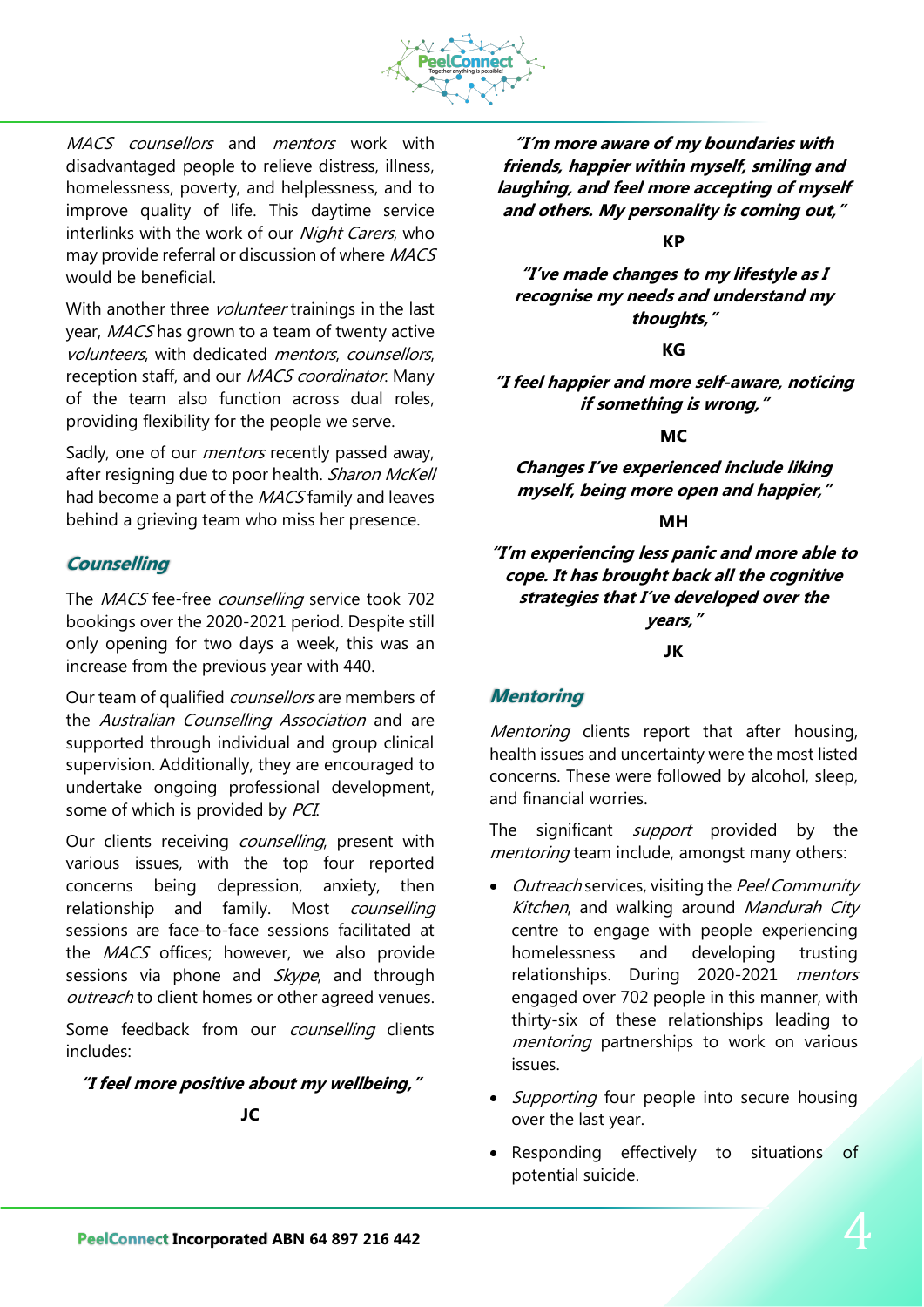

MACS counsellors and mentors work with disadvantaged people to relieve distress, illness, homelessness, poverty, and helplessness, and to improve quality of life. This daytime service interlinks with the work of our *Night Carers*, who may provide referral or discussion of where MACS would be beneficial.

With another three *volunteer* trainings in the last year, MACS has grown to a team of twenty active volunteers, with dedicated mentors, counsellors, reception staff, and our MACS coordinator. Many of the team also function across dual roles, providing flexibility for the people we serve.

Sadly, one of our *mentors* recently passed away, after resigning due to poor health. Sharon McKell had become a part of the MACS family and leaves behind a grieving team who miss her presence.

### **Counselling**

The MACS fee-free counselling service took 702 bookings over the 2020-2021 period. Despite still only opening for two days a week, this was an increase from the previous year with 440.

Our team of qualified counsellors are members of the Australian Counselling Association and are supported through individual and group clinical supervision. Additionally, they are encouraged to undertake ongoing professional development, some of which is provided by PCI.

Our clients receiving *counselling*, present with various issues, with the top four reported concerns being depression, anxiety, then relationship and family. Most counselling sessions are face-to-face sessions facilitated at the *MACS* offices; however, we also provide sessions via phone and Skype, and through outreach to client homes or other agreed venues.

Some feedback from our counselling clients includes:

### **"I feel more positive about my wellbeing,"**

**JC**

**"I'm more aware of my boundaries with friends, happier within myself, smiling and laughing, and feel more accepting of myself and others. My personality is coming out,"**

**KP**

**"I've made changes to my lifestyle as I recognise my needs and understand my thoughts,"**

**KG**

**"I feel happier and more self-aware, noticing if something is wrong,"**

**MC**

**Changes I've experienced include liking myself, being more open and happier,"**

### **MH**

**"I'm experiencing less panic and more able to cope. It has brought back all the cognitive strategies that I've developed over the years,"**

**JK**

### **Mentoring**

Mentoring clients report that after housing, health issues and uncertainty were the most listed concerns. These were followed by alcohol, sleep, and financial worries.

The significant *support* provided by the mentoring team include, amongst many others:

- Outreach services, visiting the Peel Community Kitchen, and walking around Mandurah City centre to engage with people experiencing homelessness and developing trusting relationships. During 2020-2021 mentors engaged over 702 people in this manner, with thirty-six of these relationships leading to mentoring partnerships to work on various issues.
- Supporting four people into secure housing over the last year.
- Responding effectively to situations of potential suicide.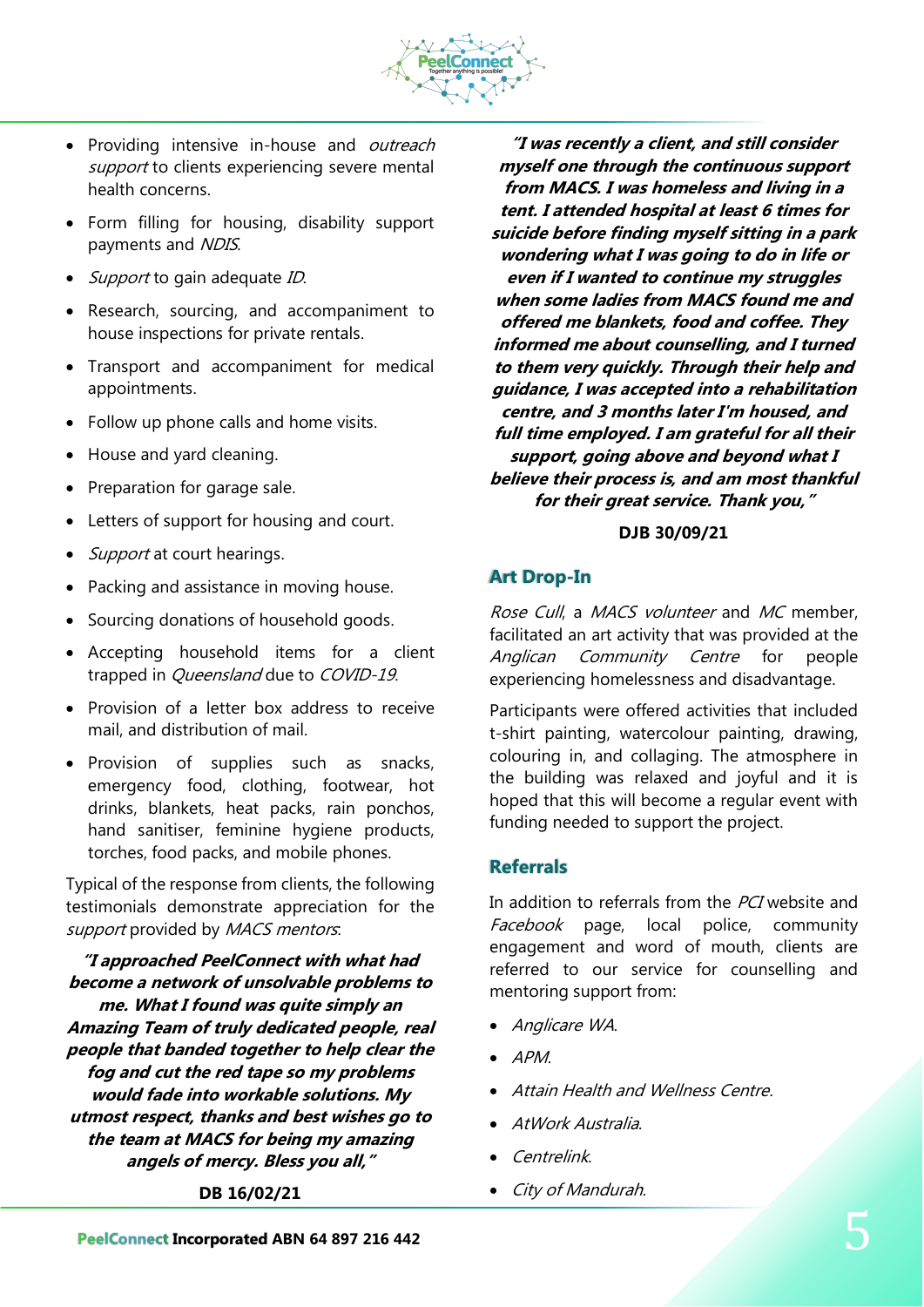

- Providing intensive in-house and outreach support to clients experiencing severe mental health concerns.
- Form filling for housing, disability support payments and NDIS.
- Support to gain adequate ID.
- Research, sourcing, and accompaniment to house inspections for private rentals.
- Transport and accompaniment for medical appointments.
- Follow up phone calls and home visits.
- House and yard cleaning.
- Preparation for garage sale.
- Letters of support for housing and court.
- Support at court hearings.
- Packing and assistance in moving house.
- Sourcing donations of household goods.
- Accepting household items for a client trapped in *Queensland* due to *COVID-19*.
- Provision of a letter box address to receive mail, and distribution of mail.
- Provision of supplies such as snacks, emergency food, clothing, footwear, hot drinks, blankets, heat packs, rain ponchos, hand sanitiser, feminine hygiene products, torches, food packs, and mobile phones.

Typical of the response from clients, the following testimonials demonstrate appreciation for the support provided by MACS mentors.

**"I approached PeelConnect with what had become a network of unsolvable problems to me. What I found was quite simply an Amazing Team of truly dedicated people, real people that banded together to help clear the fog and cut the red tape so my problems would fade into workable solutions. My utmost respect, thanks and best wishes go to the team at MACS for being my amazing angels of mercy. Bless you all,"**

**DB 16/02/21**

**"I was recently a client, and still consider myself one through the continuous support from MACS. I was homeless and living in a tent. I attended hospital at least 6 times for suicide before finding myself sitting in a park wondering what I was going to do in life or even if I wanted to continue my struggles when some ladies from MACS found me and offered me blankets, food and coffee. They informed me about counselling, and I turned to them very quickly. Through their help and guidance, I was accepted into a rehabilitation centre, and 3 months later I'm housed, and full time employed. I am grateful for all their support, going above and beyond what I believe their process is, and am most thankful for their great service. Thank you,"**

### **DJB 30/09/21**

## **Art Drop-In**

Rose Cull, a MACS volunteer and MC member, facilitated an art activity that was provided at the Anglican Community Centre for people experiencing homelessness and disadvantage.

Participants were offered activities that included t-shirt painting, watercolour painting, drawing, colouring in, and collaging. The atmosphere in the building was relaxed and joyful and it is hoped that this will become a regular event with funding needed to support the project.

### **Referrals**

In addition to referrals from the PCI website and Facebook page, local police, community engagement and word of mouth, clients are referred to our service for counselling and mentoring support from:

- Anglicare WA.
- APM.
- Attain Health and Wellness Centre.
- AtWork Australia.
- Centrelink.
- City of Mandurah.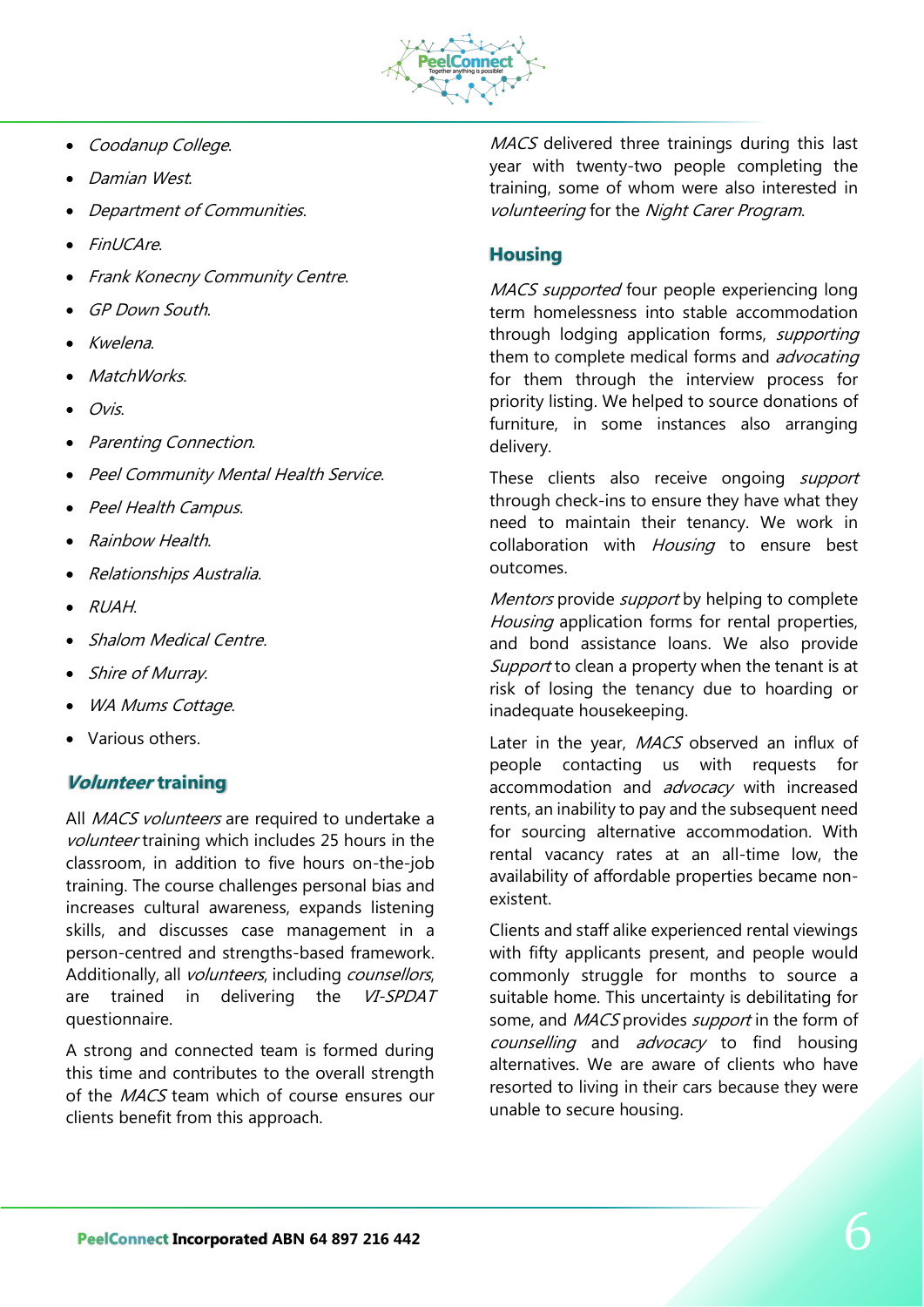

- Coodanup College.
- Damian West.
- Department of Communities.
- FinUCAre.
- Frank Konecny Community Centre.
- GP Down South.
- Kwelena.
- MatchWorks.
- Ovis.
- Parenting Connection.
- Peel Community Mental Health Service.
- Peel Health Campus.
- Rainbow Health.
- Relationships Australia.
- RUAH.
- Shalom Medical Centre.
- Shire of Murray.
- WA Mums Cottage.
- Various others.

## **Volunteer training**

All MACS volunteers are required to undertake a volunteer training which includes 25 hours in the classroom, in addition to five hours on-the-job training. The course challenges personal bias and increases cultural awareness, expands listening skills, and discusses case management in a person-centred and strengths-based framework. Additionally, all *volunteers*, including *counsellors*, are trained in delivering the VI-SPDAT questionnaire.

A strong and connected team is formed during this time and contributes to the overall strength of the MACS team which of course ensures our clients benefit from this approach.

MACS delivered three trainings during this last year with twenty-two people completing the training, some of whom were also interested in volunteering for the Night Carer Program.

## **Housing**

MACS supported four people experiencing long term homelessness into stable accommodation through lodging application forms, *supporting* them to complete medical forms and *advocating* for them through the interview process for priority listing. We helped to source donations of furniture, in some instances also arranging delivery.

These clients also receive ongoing support through check-ins to ensure they have what they need to maintain their tenancy. We work in collaboration with Housing to ensure best outcomes.

Mentors provide *support* by helping to complete Housing application forms for rental properties, and bond assistance loans. We also provide Support to clean a property when the tenant is at risk of losing the tenancy due to hoarding or inadequate housekeeping.

Later in the year, MACS observed an influx of people contacting us with requests for accommodation and advocacy with increased rents, an inability to pay and the subsequent need for sourcing alternative accommodation. With rental vacancy rates at an all-time low, the availability of affordable properties became nonexistent.

Clients and staff alike experienced rental viewings with fifty applicants present, and people would commonly struggle for months to source a suitable home. This uncertainty is debilitating for some, and MACS provides support in the form of counselling and advocacy to find housing alternatives. We are aware of clients who have resorted to living in their cars because they were unable to secure housing.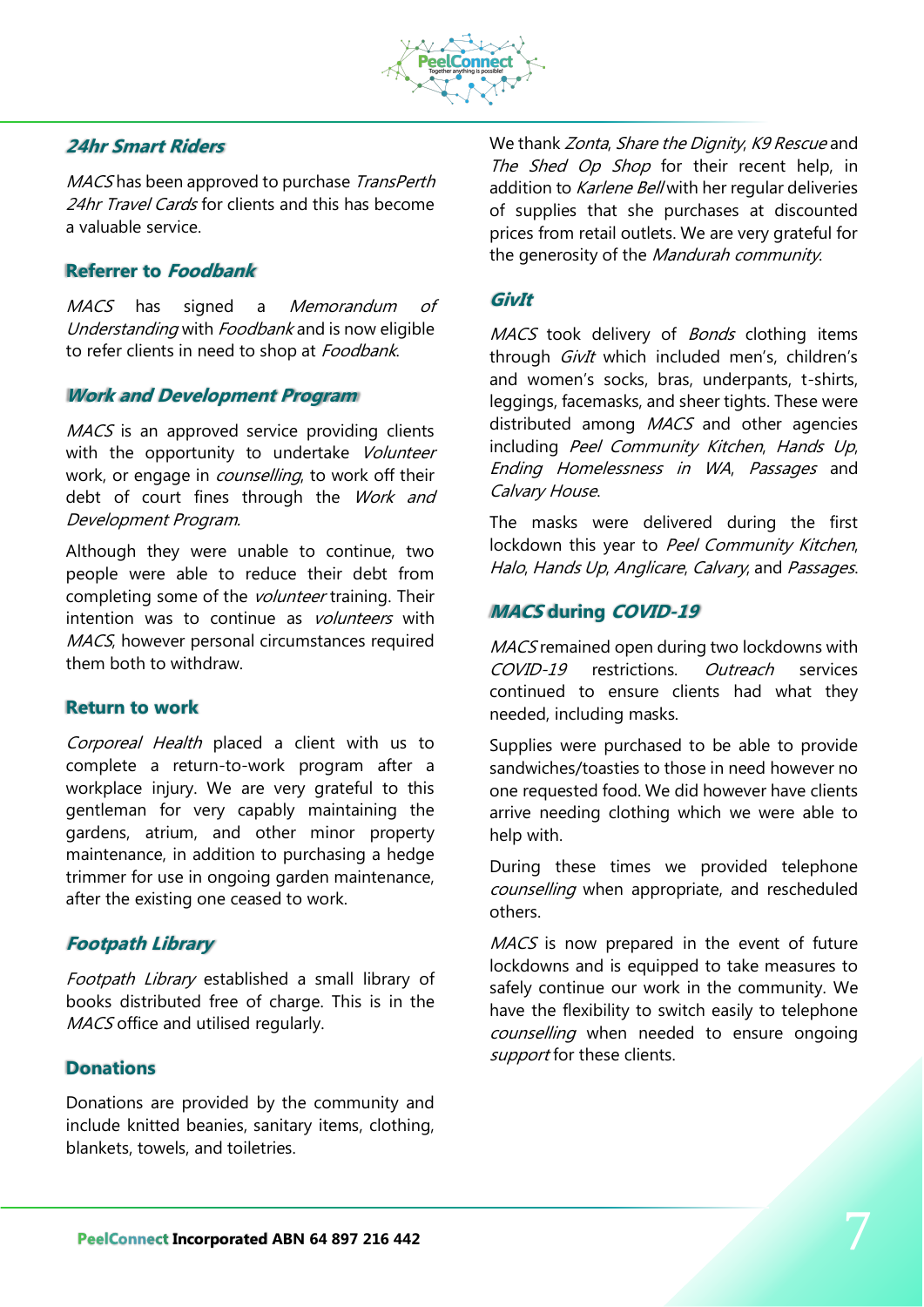

### **24hr Smart Riders**

MACS has been approved to purchase TransPerth 24hr Travel Cards for clients and this has become a valuable service.

### **Referrer to Foodbank**

MACS has signed a *Memorandum of* Understanding with Foodbank and is now eligible to refer clients in need to shop at Foodbank.

### **Work and Development Program**

MACS is an approved service providing clients with the opportunity to undertake Volunteer work, or engage in *counselling*, to work off their debt of court fines through the Work and Development Program.

Although they were unable to continue, two people were able to reduce their debt from completing some of the *volunteer* training. Their intention was to continue as *volunteers* with MACS, however personal circumstances required them both to withdraw.

#### **Return to work**

Corporeal Health placed a client with us to complete a return-to-work program after a workplace injury. We are very grateful to this gentleman for very capably maintaining the gardens, atrium, and other minor property maintenance, in addition to purchasing a hedge trimmer for use in ongoing garden maintenance, after the existing one ceased to work.

### **Footpath Library**

Footpath Library established a small library of books distributed free of charge. This is in the MACS office and utilised regularly.

### **Donations**

Donations are provided by the community and include knitted beanies, sanitary items, clothing, blankets, towels, and toiletries.

We thank Zonta, Share the Dignity, K9 Rescue and The Shed Op Shop for their recent help, in addition to Karlene Bell with her regular deliveries of supplies that she purchases at discounted prices from retail outlets. We are very grateful for the generosity of the Mandurah community.

### **GivIt**

MACS took delivery of *Bonds* clothing items through GivIt which included men's, children's and women's socks, bras, underpants, t-shirts, leggings, facemasks, and sheer tights. These were distributed among MACS and other agencies including Peel Community Kitchen, Hands Up, Ending Homelessness in WA, Passages and Calvary House.

The masks were delivered during the first lockdown this year to Peel Community Kitchen, Halo, Hands Up, Anglicare, Calvary, and Passages.

### **MACS during COVID-19**

MACS remained open during two lockdowns with COVID-19 restrictions. Outreach services continued to ensure clients had what they needed, including masks.

Supplies were purchased to be able to provide sandwiches/toasties to those in need however no one requested food. We did however have clients arrive needing clothing which we were able to help with.

During these times we provided telephone counselling when appropriate, and rescheduled others.

MACS is now prepared in the event of future lockdowns and is equipped to take measures to safely continue our work in the community. We have the flexibility to switch easily to telephone counselling when needed to ensure ongoing support for these clients.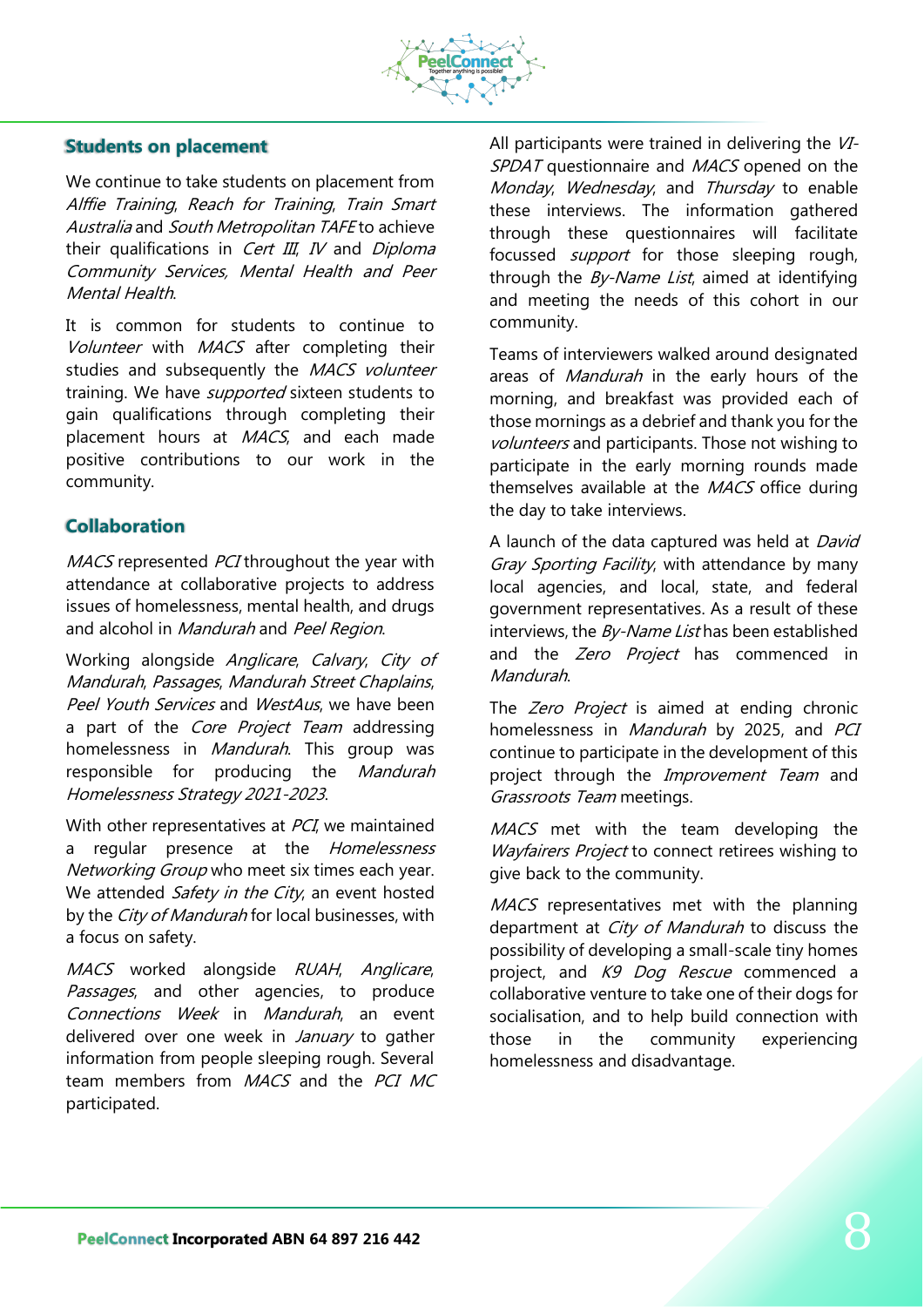

### **Students on placement**

We continue to take students on placement from Alffie Training, Reach for Training, Train Smart Australia and South Metropolitan TAFE to achieve their qualifications in *Cert III, IV* and *Diploma* Community Services, Mental Health and Peer Mental Health.

It is common for students to continue to Volunteer with MACS after completing their studies and subsequently the MACS volunteer training. We have *supported* sixteen students to gain qualifications through completing their placement hours at MACS, and each made positive contributions to our work in the community.

## **Collaboration**

MACS represented PCI throughout the year with attendance at collaborative projects to address issues of homelessness, mental health, and drugs and alcohol in Mandurah and Peel Region.

Working alongside Anglicare, Calvary, City of Mandurah, Passages, Mandurah Street Chaplains, Peel Youth Services and WestAus, we have been a part of the Core Project Team addressing homelessness in *Mandurah*. This group was responsible for producing the *Mandurah* Homelessness Strategy 2021-2023.

With other representatives at *PCI*, we maintained a regular presence at the *Homelessness* Networking Group who meet six times each year. We attended *Safety in the City*, an event hosted by the City of Mandurah for local businesses, with a focus on safety.

MACS worked alongside RUAH, Anglicare, Passages, and other agencies, to produce Connections Week in Mandurah, an event delivered over one week in January to gather information from people sleeping rough. Several team members from MACS and the PCI MC participated.

All participants were trained in delivering the VI-SPDAT questionnaire and MACS opened on the Monday, Wednesday, and Thursday to enable these interviews. The information gathered through these questionnaires will facilitate focussed *support* for those sleeping rough, through the  $By-Name$  List, aimed at identifying and meeting the needs of this cohort in our community.

Teams of interviewers walked around designated areas of *Mandurah* in the early hours of the morning, and breakfast was provided each of those mornings as a debrief and thank you for the volunteers and participants. Those not wishing to participate in the early morning rounds made themselves available at the *MACS* office during the day to take interviews.

A launch of the data captured was held at David Gray Sporting Facility, with attendance by many local agencies, and local, state, and federal government representatives. As a result of these interviews, the  $By-Name$  List has been established and the Zero Project has commenced in Mandurah.

The Zero Project is aimed at ending chronic homelessness in *Mandurah* by 2025, and PCI continue to participate in the development of this project through the *Improvement Team* and Grassroots Team meetings.

MACS met with the team developing the Wayfairers Project to connect retirees wishing to give back to the community.

MACS representatives met with the planning department at *City of Mandurah* to discuss the possibility of developing a small-scale tiny homes project, and K9 Dog Rescue commenced a collaborative venture to take one of their dogs for socialisation, and to help build connection with those in the community experiencing homelessness and disadvantage.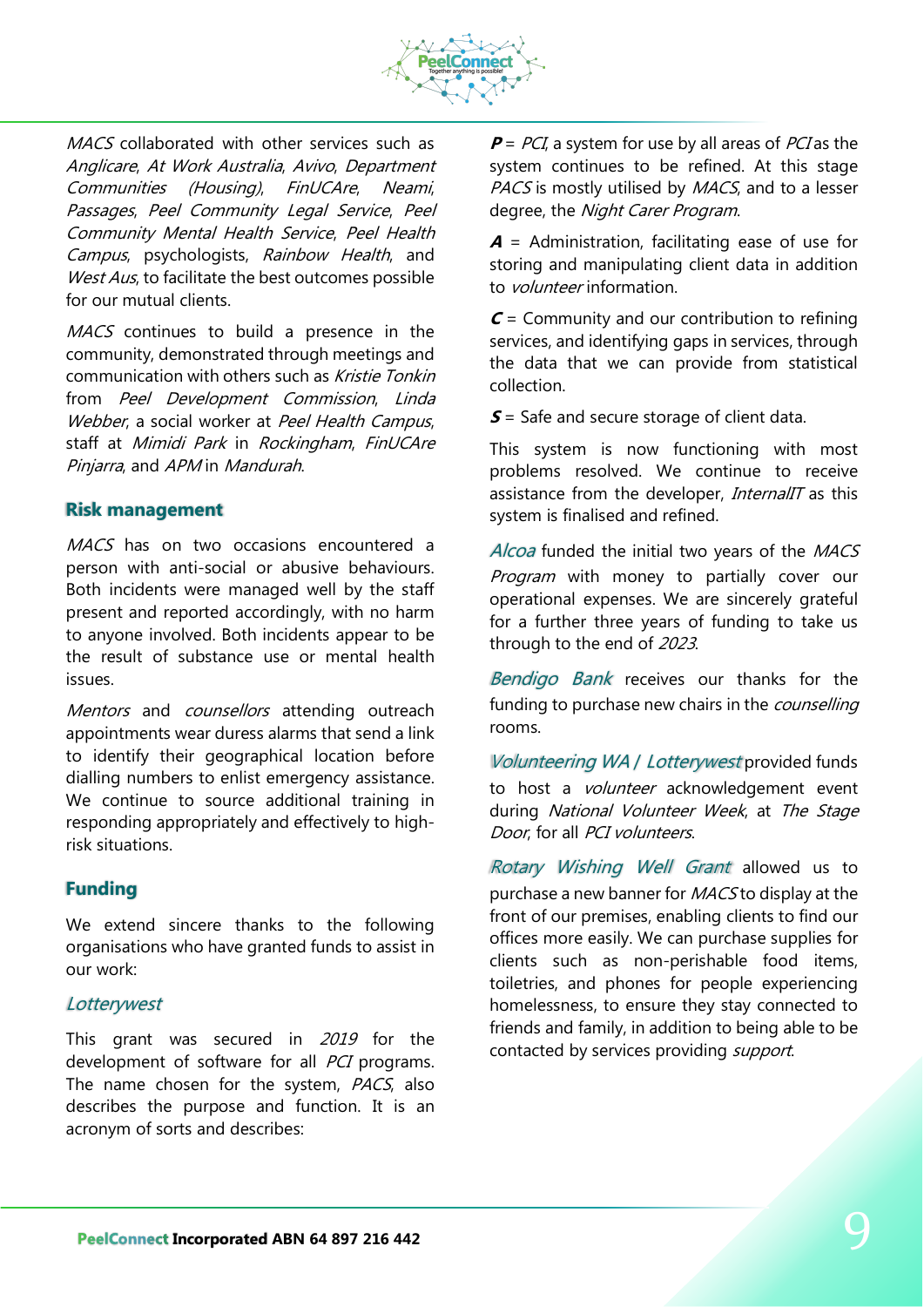

MACS collaborated with other services such as Anglicare, At Work Australia, Avivo, Department Communities (Housing), FinUCAre, Neami, Passages, Peel Community Legal Service, Peel Community Mental Health Service, Peel Health Campus, psychologists, Rainbow Health, and West Aus, to facilitate the best outcomes possible for our mutual clients.

MACS continues to build a presence in the community, demonstrated through meetings and communication with others such as Kristie Tonkin from Peel Development Commission, Linda Webber, a social worker at Peel Health Campus, staff at Mimidi Park in Rockingham, FinUCAre Pinjarra, and APM in Mandurah.

### **Risk management**

MACS has on two occasions encountered a person with anti-social or abusive behaviours. Both incidents were managed well by the staff present and reported accordingly, with no harm to anyone involved. Both incidents appear to be the result of substance use or mental health issues.

Mentors and counsellors attending outreach appointments wear duress alarms that send a link to identify their geographical location before dialling numbers to enlist emergency assistance. We continue to source additional training in responding appropriately and effectively to highrisk situations.

### **Funding**

We extend sincere thanks to the following organisations who have granted funds to assist in our work:

### **Lotterywest**

This grant was secured in 2019 for the development of software for all *PCI* programs. The name chosen for the system, PACS, also describes the purpose and function. It is an acronym of sorts and describes:

 $P = PCI$ , a system for use by all areas of PCI as the system continues to be refined. At this stage PACS is mostly utilised by MACS, and to a lesser degree, the Night Carer Program.

**<sup>A</sup>** = Administration, facilitating ease of use for storing and manipulating client data in addition to *volunteer* information.

**C** = Community and our contribution to refining services, and identifying gaps in services, through the data that we can provide from statistical collection.

**S** = Safe and secure storage of client data.

This system is now functioning with most problems resolved. We continue to receive assistance from the developer. *InternalIT* as this system is finalised and refined.

Alcoa funded the initial two years of the MACS Program with money to partially cover our operational expenses. We are sincerely grateful for a further three years of funding to take us through to the end of 2023.

Bendigo Bank receives our thanks for the funding to purchase new chairs in the *counselling* rooms.

Volunteering WA / Lotterywest provided funds to host a *volunteer* acknowledgement event during National Volunteer Week, at The Stage Door, for all PCI volunteers.

Rotary Wishing Well Grant allowed us to purchase a new banner for MACS to display at the front of our premises, enabling clients to find our offices more easily. We can purchase supplies for clients such as non-perishable food items, toiletries, and phones for people experiencing homelessness, to ensure they stay connected to friends and family, in addition to being able to be contacted by services providing *support*.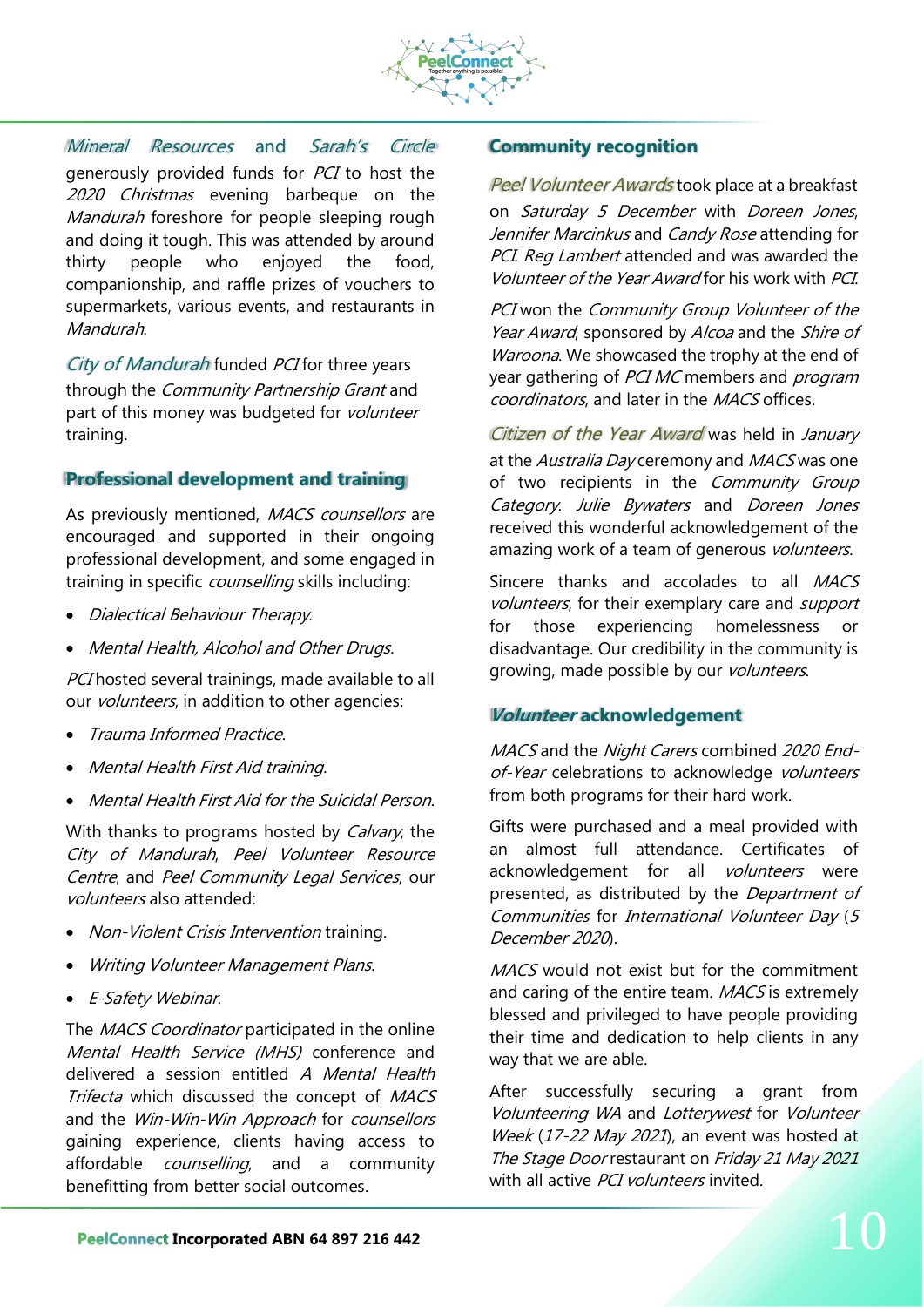

Mineral Resources and Sarah's Circle generously provided funds for PCI to host the 2020 Christmas evening barbeque on the Mandurah foreshore for people sleeping rough and doing it tough. This was attended by around thirty people who enjoyed the food, companionship, and raffle prizes of vouchers to supermarkets, various events, and restaurants in Mandurah.

City of Mandurah funded PCI for three years through the *Community Partnership Grant* and part of this money was budgeted for volunteer training.

### **Professional development and training**

As previously mentioned, MACS counsellors are encouraged and supported in their ongoing professional development, and some engaged in training in specific *counselling* skills including:

- Dialectical Behaviour Therapy.
- Mental Health, Alcohol and Other Drugs.

PCI hosted several trainings, made available to all our *volunteers*, in addition to other agencies:

- Trauma Informed Practice.
- Mental Health First Aid training.
- Mental Health First Aid for the Suicidal Person.

With thanks to programs hosted by *Calvary*, the City of Mandurah, Peel Volunteer Resource Centre, and Peel Community Legal Services, our volunteers also attended:

- Non-Violent Crisis Intervention training.
- Writing Volunteer Management Plans.
- E-Safety Webinar.

The MACS Coordinator participated in the online Mental Health Service (MHS) conference and delivered a session entitled A Mental Health Trifecta which discussed the concept of MACS and the Win-Win-Win Approach for counsellors gaining experience, clients having access to affordable *counselling*, and a community benefitting from better social outcomes.

### **Community recognition**

Peel Volunteer Awards took place at a breakfast on Saturday 5 December with Doreen Jones, Jennifer Marcinkus and Candy Rose attending for PCI. Reg Lambert attended and was awarded the Volunteer of the Year Award for his work with PCI.

PCI won the Community Group Volunteer of the Year Award, sponsored by Alcoa and the Shire of Waroona. We showcased the trophy at the end of year gathering of PCI MC members and program coordinators, and later in the MACS offices.

Citizen of the Year Award was held in January at the Australia Day ceremony and MACS was one of two recipients in the Community Group Category. Julie Bywaters and Doreen Jones received this wonderful acknowledgement of the amazing work of a team of generous volunteers.

Sincere thanks and accolades to all MACS volunteers, for their exemplary care and support for those experiencing homelessness or disadvantage. Our credibility in the community is growing, made possible by our *volunteers*.

### **Volunteer acknowledgement**

MACS and the Night Carers combined 2020 Endof-Year celebrations to acknowledge volunteers from both programs for their hard work.

Gifts were purchased and a meal provided with an almost full attendance. Certificates of acknowledgement for all volunteers were presented, as distributed by the Department of Communities for International Volunteer Day (<sup>5</sup> December 2020).

MACS would not exist but for the commitment and caring of the entire team. MACS is extremely blessed and privileged to have people providing their time and dedication to help clients in any way that we are able.

After successfully securing a grant from Volunteering WA and Lotterywest for Volunteer Week (17-22 May 2021), an event was hosted at The Stage Door restaurant on Friday 21 May 2021 with all active PCI volunteers invited.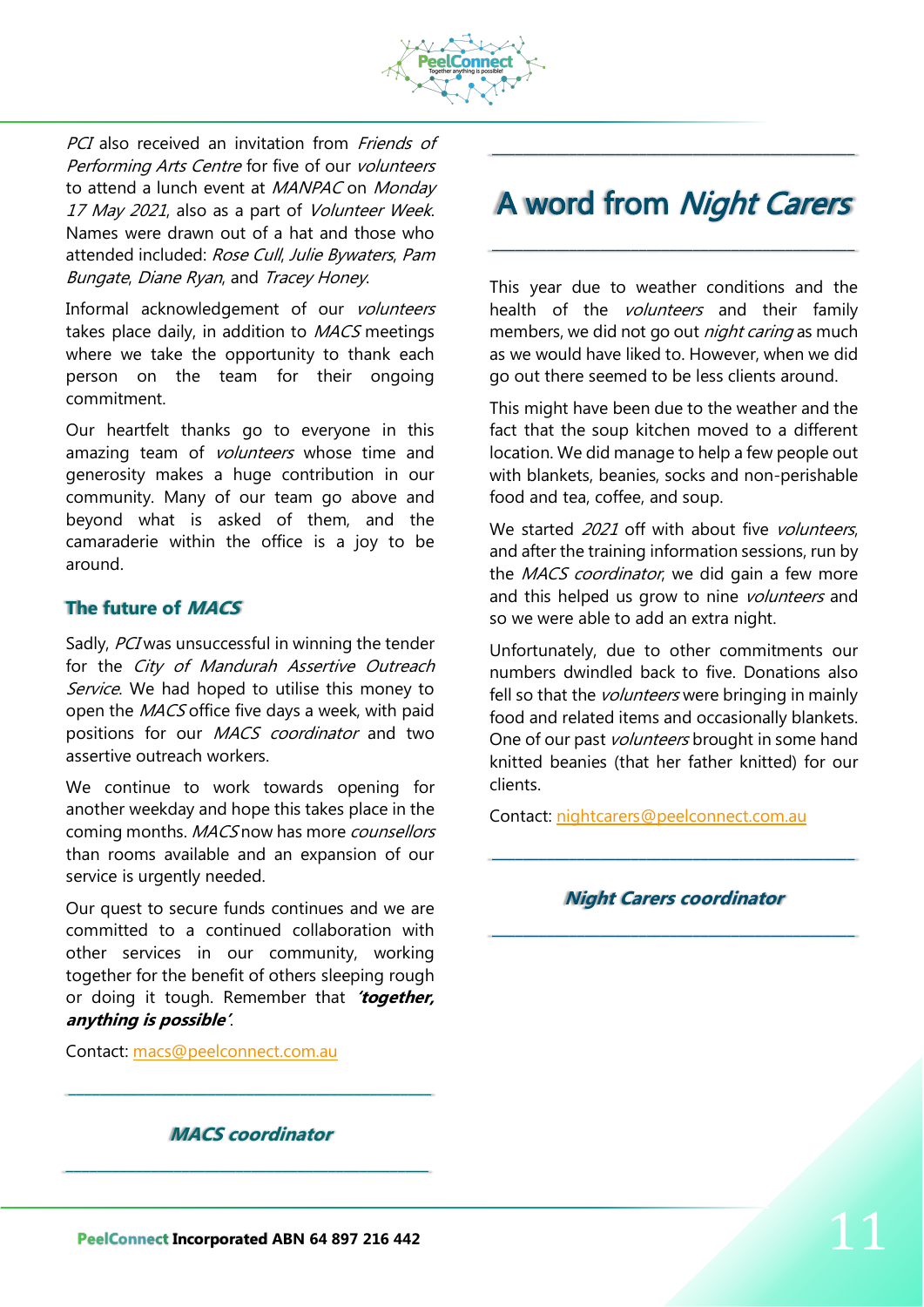

PCI also received an invitation from *Friends of* Performing Arts Centre for five of our volunteers to attend a lunch event at MANPAC on Monday 17 May 2021, also as a part of Volunteer Week. Names were drawn out of a hat and those who attended included: Rose Cull, Julie Bywaters, Pam Bungate, Diane Ryan, and Tracey Honey.

Informal acknowledgement of our volunteers takes place daily, in addition to MACS meetings where we take the opportunity to thank each person on the team for their ongoing commitment.

Our heartfelt thanks go to everyone in this amazing team of *volunteers* whose time and generosity makes a huge contribution in our community. Many of our team go above and beyond what is asked of them, and the camaraderie within the office is a joy to be around.

## **The future of MACS**

Sadly, PCI was unsuccessful in winning the tender for the City of Mandurah Assertive Outreach Service. We had hoped to utilise this money to open the MACS office five days a week, with paid positions for our *MACS coordinator* and two assertive outreach workers.

We continue to work towards opening for another weekday and hope this takes place in the coming months. MACS now has more counsellors than rooms available and an expansion of our service is urgently needed.

Our quest to secure funds continues and we are committed to a continued collaboration with other services in our community, working together for the benefit of others sleeping rough or doing it tough. Remember that **'together, anything is possible'**.

Contact: [macs@peelconnect.com.au](mailto:macs@peelconnect.com.au)

### **MACS coordinator**

\_\_\_\_\_\_\_\_\_\_\_\_\_\_\_\_\_\_\_\_\_\_\_\_\_\_\_\_\_\_\_\_\_\_\_\_\_\_\_\_\_\_\_\_\_\_\_

\_\_\_\_\_\_\_\_\_\_\_\_\_\_\_\_\_\_\_\_\_\_\_\_\_\_\_\_\_\_\_\_\_\_\_\_\_\_\_\_\_\_\_\_\_\_\_

## A word from Night Carers

\_\_\_\_\_\_\_\_\_\_\_\_\_\_\_\_\_\_\_\_\_\_\_\_\_\_\_\_\_\_\_\_\_\_\_\_\_\_\_\_\_\_\_\_\_\_\_

\_\_\_\_\_\_\_\_\_\_\_\_\_\_\_\_\_\_\_\_\_\_\_\_\_\_\_\_\_\_\_\_\_\_\_\_\_\_\_\_\_\_\_\_\_\_\_

This year due to weather conditions and the health of the *volunteers* and their family members, we did not go out *night caring* as much as we would have liked to. However, when we did go out there seemed to be less clients around.

This might have been due to the weather and the fact that the soup kitchen moved to a different location. We did manage to help a few people out with blankets, beanies, socks and non-perishable food and tea, coffee, and soup.

We started 2021 off with about five volunteers. and after the training information sessions, run by the *MACS coordinator*, we did gain a few more and this helped us grow to nine *volunteers* and so we were able to add an extra night.

Unfortunately, due to other commitments our numbers dwindled back to five. Donations also fell so that the *volunteers* were bringing in mainly food and related items and occasionally blankets. One of our past *volunteers* brought in some hand knitted beanies (that her father knitted) for our clients.

Contact: [nightcarers@peelconnect.com.au](mailto:nightcarers@peelconnect.com.au)

## **Night Carers coordinator** \_\_\_\_\_\_\_\_\_\_\_\_\_\_\_\_\_\_\_\_\_\_\_\_\_\_\_\_\_\_\_\_\_\_\_\_\_\_\_\_\_\_\_\_\_\_\_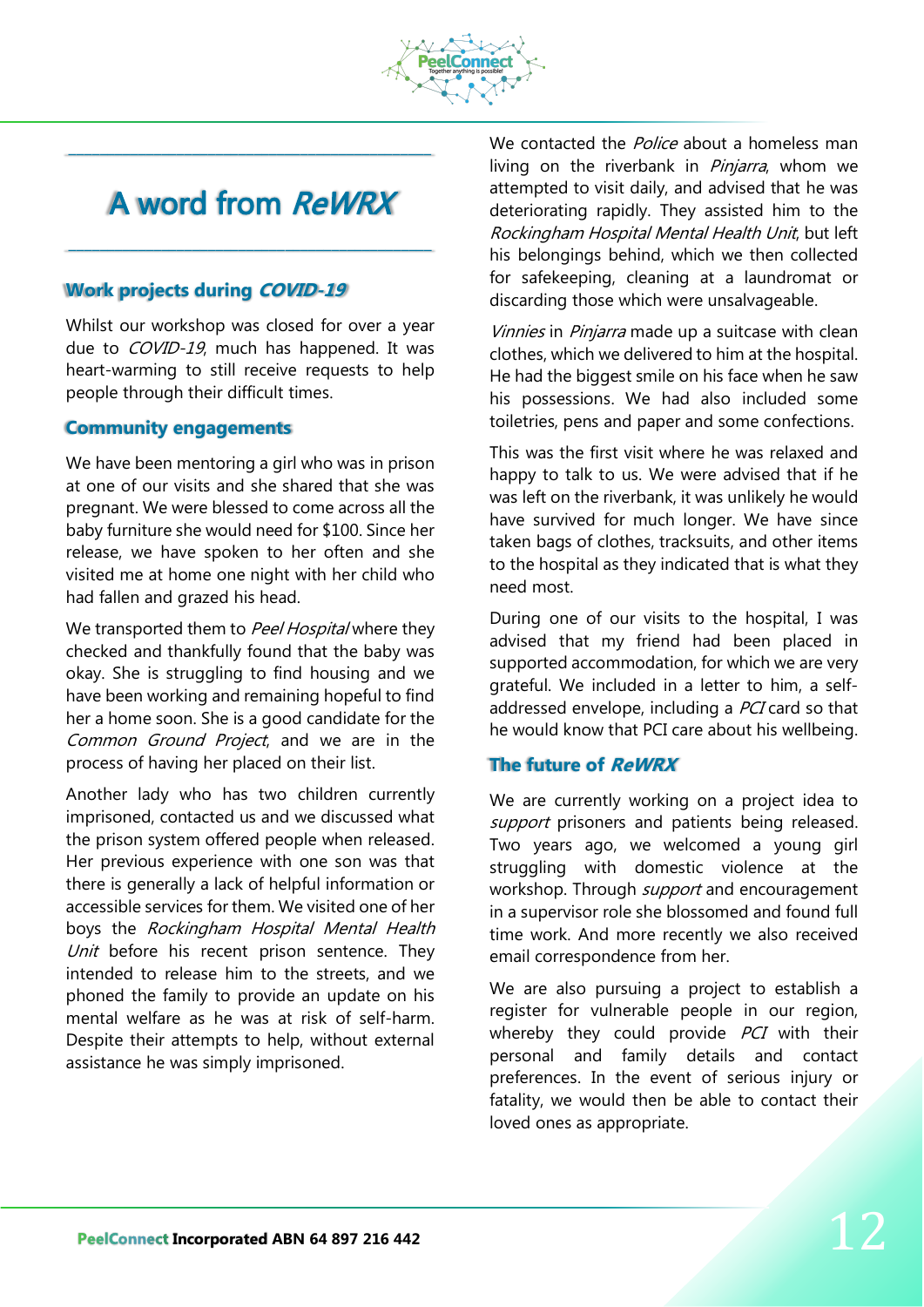

# A word from ReWRX

\_\_\_\_\_\_\_\_\_\_\_\_\_\_\_\_\_\_\_\_\_\_\_\_\_\_\_\_\_\_\_\_\_\_\_\_\_\_\_\_\_\_\_\_\_\_\_

\_\_\_\_\_\_\_\_\_\_\_\_\_\_\_\_\_\_\_\_\_\_\_\_\_\_\_\_\_\_\_\_\_\_\_\_\_\_\_\_\_\_\_\_\_\_\_

## **Work projects during COVID-19**

Whilst our workshop was closed for over a year due to *COVID-19*, much has happened. It was heart-warming to still receive requests to help people through their difficult times.

### **Community engagements**

We have been mentoring a girl who was in prison at one of our visits and she shared that she was pregnant. We were blessed to come across all the baby furniture she would need for \$100. Since her release, we have spoken to her often and she visited me at home one night with her child who had fallen and grazed his head.

We transported them to Peel Hospital where they checked and thankfully found that the baby was okay. She is struggling to find housing and we have been working and remaining hopeful to find her a home soon. She is a good candidate for the Common Ground Project, and we are in the process of having her placed on their list.

Another lady who has two children currently imprisoned, contacted us and we discussed what the prison system offered people when released. Her previous experience with one son was that there is generally a lack of helpful information or accessible services for them. We visited one of her boys the Rockingham Hospital Mental Health Unit before his recent prison sentence. They intended to release him to the streets, and we phoned the family to provide an update on his mental welfare as he was at risk of self-harm. Despite their attempts to help, without external assistance he was simply imprisoned.

We contacted the *Police* about a homeless man living on the riverbank in *Piniarra*, whom we attempted to visit daily, and advised that he was deteriorating rapidly. They assisted him to the Rockingham Hospital Mental Health Unit, but left his belongings behind, which we then collected for safekeeping, cleaning at a laundromat or discarding those which were unsalvageable.

Vinnies in Pinjarra made up a suitcase with clean clothes, which we delivered to him at the hospital. He had the biggest smile on his face when he saw his possessions. We had also included some toiletries, pens and paper and some confections.

This was the first visit where he was relaxed and happy to talk to us. We were advised that if he was left on the riverbank, it was unlikely he would have survived for much longer. We have since taken bags of clothes, tracksuits, and other items to the hospital as they indicated that is what they need most.

During one of our visits to the hospital, I was advised that my friend had been placed in supported accommodation, for which we are very grateful. We included in a letter to him, a selfaddressed envelope, including a PCI card so that he would know that PCI care about his wellbeing.

## **The future of ReWRX**

We are currently working on a project idea to support prisoners and patients being released. Two years ago, we welcomed a young girl struggling with domestic violence at the workshop. Through *support* and encouragement in a supervisor role she blossomed and found full time work. And more recently we also received email correspondence from her.

We are also pursuing a project to establish a register for vulnerable people in our region, whereby they could provide  $PCI$  with their personal and family details and contact preferences. In the event of serious injury or fatality, we would then be able to contact their loved ones as appropriate.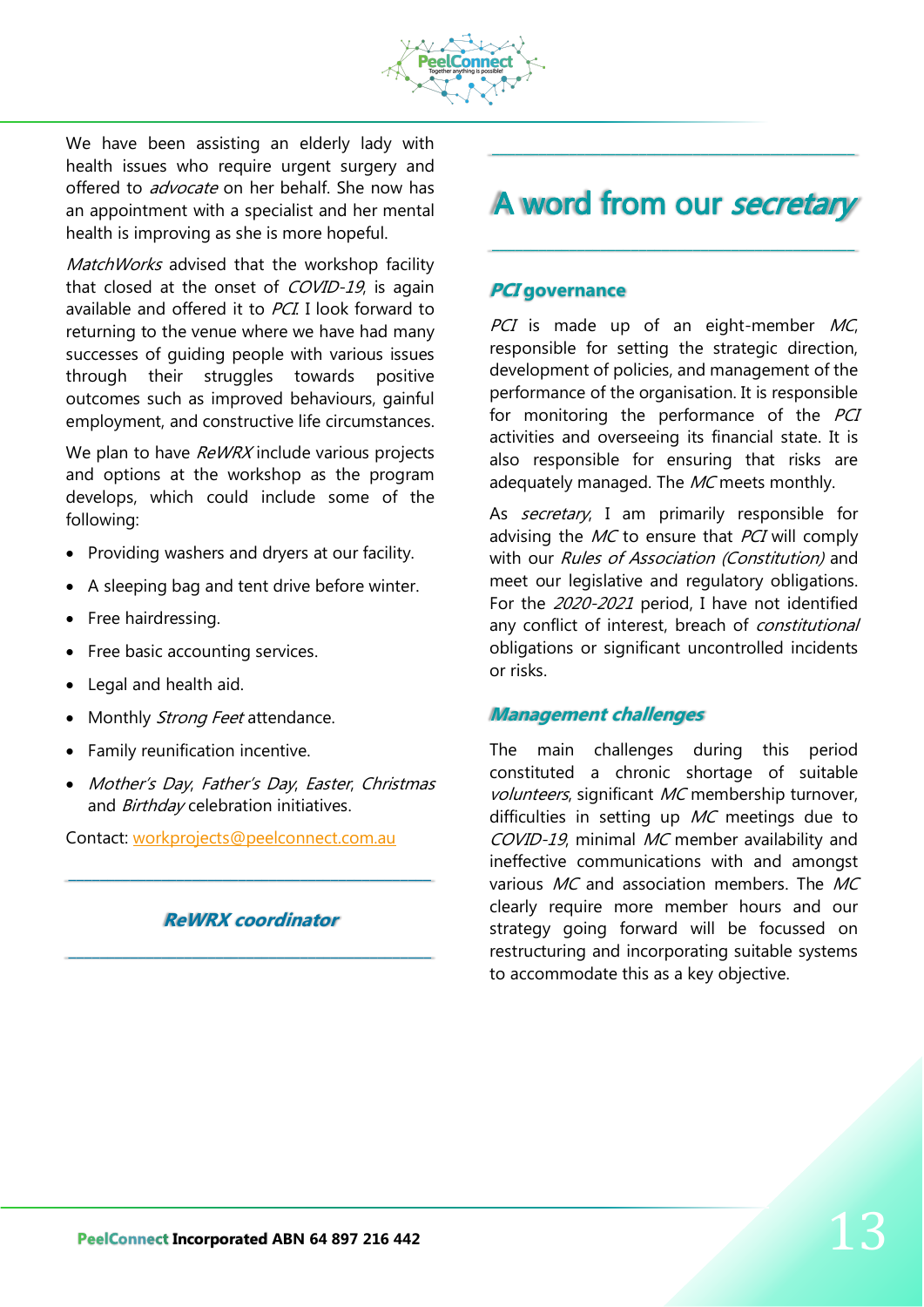

We have been assisting an elderly lady with health issues who require urgent surgery and offered to *advocate* on her behalf. She now has an appointment with a specialist and her mental health is improving as she is more hopeful.

MatchWorks advised that the workshop facility that closed at the onset of COVID-19, is again available and offered it to PCI. I look forward to returning to the venue where we have had many successes of guiding people with various issues through their struggles towards positive outcomes such as improved behaviours, gainful employment, and constructive life circumstances.

We plan to have ReWRX include various projects and options at the workshop as the program develops, which could include some of the following:

- Providing washers and dryers at our facility.
- A sleeping bag and tent drive before winter.
- Free hairdressing.
- Free basic accounting services.
- Legal and health aid.
- Monthly Strong Feet attendance.
- Family reunification incentive.
- Mother's Day, Father's Day, Easter, Christmas and Birthday celebration initiatives.

Contact: [workprojects@peelconnect.com.au](mailto:workprojects@peelconnect.com.au)

### **ReWRX coordinator**

\_\_\_\_\_\_\_\_\_\_\_\_\_\_\_\_\_\_\_\_\_\_\_\_\_\_\_\_\_\_\_\_\_\_\_\_\_\_\_\_\_\_\_\_\_\_\_

\_\_\_\_\_\_\_\_\_\_\_\_\_\_\_\_\_\_\_\_\_\_\_\_\_\_\_\_\_\_\_\_\_\_\_\_\_\_\_\_\_\_\_\_\_\_\_

## A word from our secretary

\_\_\_\_\_\_\_\_\_\_\_\_\_\_\_\_\_\_\_\_\_\_\_\_\_\_\_\_\_\_\_\_\_\_\_\_\_\_\_\_\_\_\_\_\_\_\_

\_\_\_\_\_\_\_\_\_\_\_\_\_\_\_\_\_\_\_\_\_\_\_\_\_\_\_\_\_\_\_\_\_\_\_\_\_\_\_\_\_\_\_\_\_\_\_

#### **PCI governance**

PCI is made up of an eight-member  $MC$ , responsible for setting the strategic direction, development of policies, and management of the performance of the organisation. It is responsible for monitoring the performance of the PCI activities and overseeing its financial state. It is also responsible for ensuring that risks are adequately managed. The MC meets monthly.

As *secretary*, I am primarily responsible for advising the  $MC$  to ensure that  $PCI$  will comply with our Rules of Association (Constitution) and meet our legislative and regulatory obligations. For the 2020-2021 period, I have not identified any conflict of interest, breach of *constitutional* obligations or significant uncontrolled incidents or risks.

### **Management challenges**

The main challenges during this period constituted a chronic shortage of suitable volunteers, significant MC membership turnover, difficulties in setting up  $MC$  meetings due to COVID-19, minimal MC member availability and ineffective communications with and amongst various  $MC$  and association members. The  $MC$ clearly require more member hours and our strategy going forward will be focussed on restructuring and incorporating suitable systems to accommodate this as a key objective.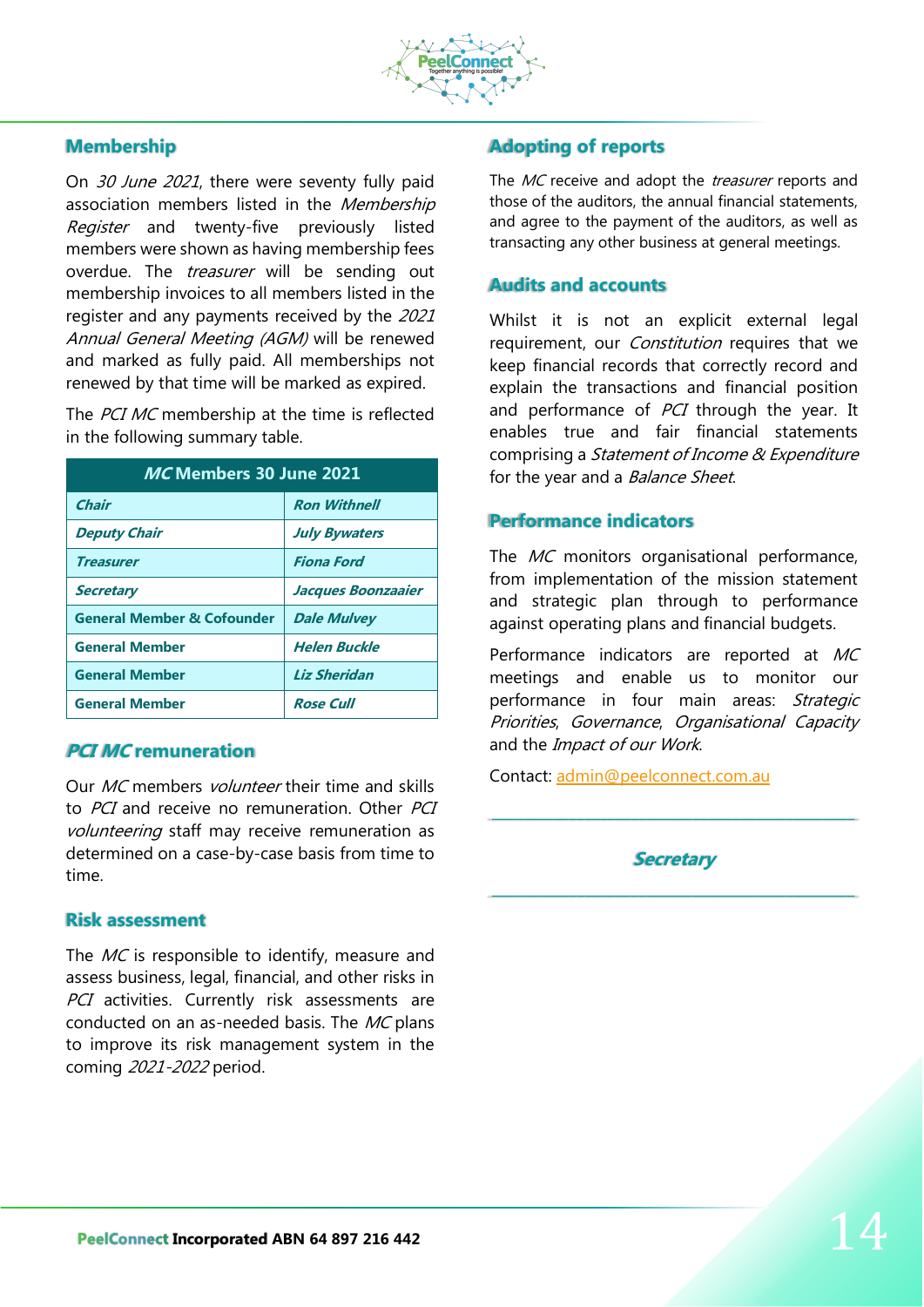

## **Membership**

On 30 June 2021, there were seventy fully paid association members listed in the Membership Register and twenty-five previously listed members were shown as having membership fees overdue. The *treasurer* will be sending out membership invoices to all members listed in the register and any payments received by the 2021 Annual General Meeting (AGM) will be renewed and marked as fully paid. All memberships not renewed by that time will be marked as expired.

The PCI MC membership at the time is reflected in the following summary table.

| MC Members 30 June 2021               |                      |
|---------------------------------------|----------------------|
| <b>Chair</b>                          | <b>Ron Withnell</b>  |
| <b>Deputy Chair</b>                   | <b>July Bywaters</b> |
| <b>Treasurer</b>                      | Fiona Ford           |
| <b>Secretary</b>                      | Jacques Boonzaaier   |
| <b>General Member &amp; Cofounder</b> | <b>Dale Mulvey</b>   |
| <b>General Member</b>                 | <b>Helen Buckle</b>  |
| <b>General Member</b>                 | <b>Liz Sheridan</b>  |
| <b>General Member</b>                 | <b>Rose Cull</b>     |

### **PCI MC remuneration**

Our *MC* members *volunteer* their time and skills to *PCI* and receive no remuneration. Other *PCI* volunteering staff may receive remuneration as determined on a case-by-case basis from time to time.

### **Risk assessment**

The MC is responsible to identify, measure and assess business, legal, financial, and other risks in PCI activities. Currently risk assessments are conducted on an as-needed basis. The MC plans to improve its risk management system in the coming 2021-2022 period.

## **Adopting of reports**

The MC receive and adopt the *treasurer* reports and those of the auditors, the annual financial statements, and agree to the payment of the auditors, as well as transacting any other business at general meetings.

## **Audits and accounts**

Whilst it is not an explicit external legal requirement, our *Constitution* requires that we keep financial records that correctly record and explain the transactions and financial position and performance of PCI through the year. It enables true and fair financial statements comprising a *Statement of Income & Expenditure* for the year and a *Balance Sheet*.

### **Performance indicators**

The MC monitors organisational performance, from implementation of the mission statement and strategic plan through to performance against operating plans and financial budgets.

Performance indicators are reported at MC meetings and enable us to monitor our performance in four main areas: Strategic Priorities, Governance, Organisational Capacity and the *Impact of our Work*.

Contact: [admin@peelconnect.com.au](mailto:admin@peelconnect.com.au)

**Secretary**

\_\_\_\_\_\_\_\_\_\_\_\_\_\_\_\_\_\_\_\_\_\_\_\_\_\_\_\_\_\_\_\_\_\_\_\_\_\_\_\_\_\_\_\_\_\_\_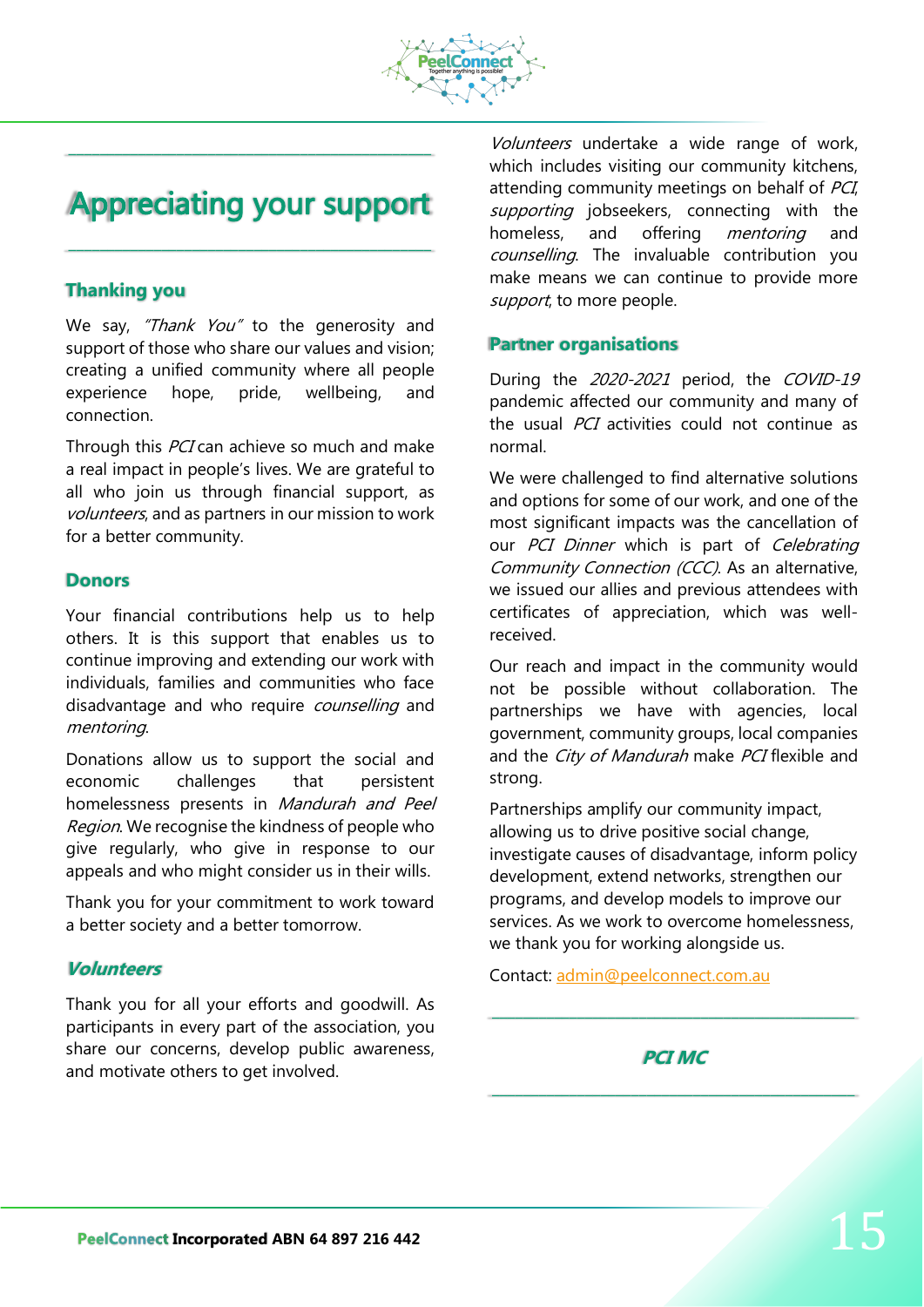

## **Appreciating your support**

\_\_\_\_\_\_\_\_\_\_\_\_\_\_\_\_\_\_\_\_\_\_\_\_\_\_\_\_\_\_\_\_\_\_\_\_\_\_\_\_\_\_\_\_\_\_\_

\_\_\_\_\_\_\_\_\_\_\_\_\_\_\_\_\_\_\_\_\_\_\_\_\_\_\_\_\_\_\_\_\_\_\_\_\_\_\_\_\_\_\_\_\_\_\_

## **Thanking you**

We say, "Thank You" to the generosity and support of those who share our values and vision; creating a unified community where all people experience hope, pride, wellbeing, and connection.

Through this PCI can achieve so much and make a real impact in people's lives. We are grateful to all who join us through financial support, as volunteers, and as partners in our mission to work for a better community.

### **Donors**

Your financial contributions help us to help others. It is this support that enables us to continue improving and extending our work with individuals, families and communities who face disadvantage and who require *counselling* and mentoring.

Donations allow us to support the social and economic challenges that persistent homelessness presents in Mandurah and Peel Region. We recognise the kindness of people who give regularly, who give in response to our appeals and who might consider us in their wills.

Thank you for your commitment to work toward a better society and a better tomorrow.

### **Volunteers**

Thank you for all your efforts and goodwill. As participants in every part of the association, you share our concerns, develop public awareness, and motivate others to get involved.

Volunteers undertake a wide range of work, which includes visiting our community kitchens, attending community meetings on behalf of PCI, supporting jobseekers, connecting with the homeless, and offering *mentoring* and counselling. The invaluable contribution you make means we can continue to provide more support, to more people.

### **Partner organisations**

During the 2020-2021 period, the COVID-19 pandemic affected our community and many of the usual *PCI* activities could not continue as normal.

We were challenged to find alternative solutions and options for some of our work, and one of the most significant impacts was the cancellation of our PCI Dinner which is part of Celebrating Community Connection (CCC). As an alternative, we issued our allies and previous attendees with certificates of appreciation, which was wellreceived.

Our reach and impact in the community would not be possible without collaboration. The partnerships we have with agencies, local government, community groups, local companies and the City of Mandurah make PCI flexible and strong.

Partnerships amplify our community impact, allowing us to drive positive social change, investigate causes of disadvantage, inform policy development, extend networks, strengthen our programs, and develop models to improve our services. As we work to overcome homelessness, we thank you for working alongside us.

Contact: [admin@peelconnect.com.au](mailto:admin@peelconnect.com.au)

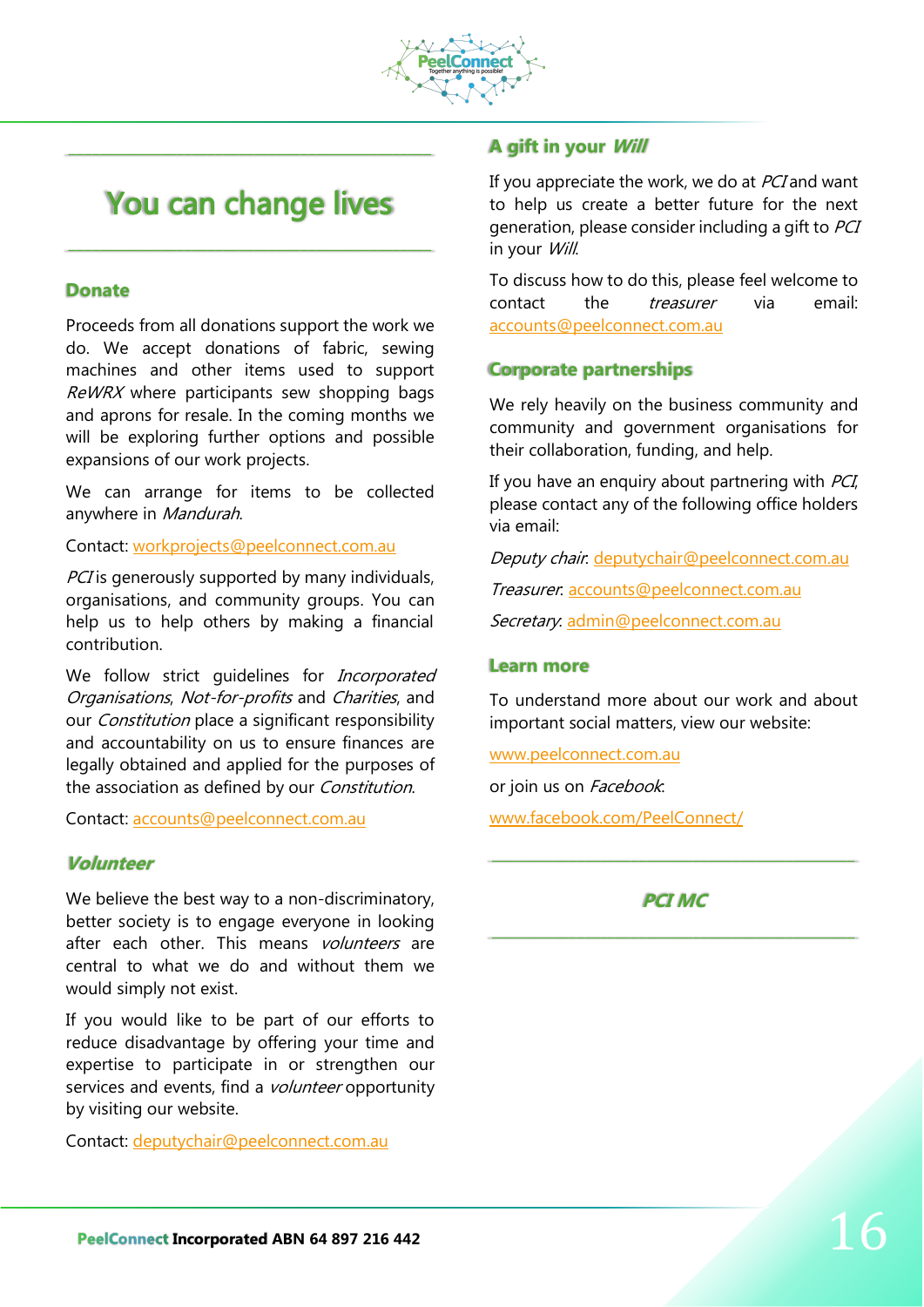

## You can change lives

\_\_\_\_\_\_\_\_\_\_\_\_\_\_\_\_\_\_\_\_\_\_\_\_\_\_\_\_\_\_\_\_\_\_\_\_\_\_\_\_\_\_\_\_\_\_\_

\_\_\_\_\_\_\_\_\_\_\_\_\_\_\_\_\_\_\_\_\_\_\_\_\_\_\_\_\_\_\_\_\_\_\_\_\_\_\_\_\_\_\_\_\_\_\_

### **Donate**

Proceeds from all donations support the work we do. We accept donations of fabric, sewing machines and other items used to support ReWRX where participants sew shopping bags and aprons for resale. In the coming months we will be exploring further options and possible expansions of our work projects.

We can arrange for items to be collected anywhere in Mandurah.

Contact: [workprojects@peelconnect.com.au](mailto:workprojects@peelconnect.com.au)

PCI is generously supported by many individuals, organisations, and community groups. You can help us to help others by making a financial contribution.

We follow strict quidelines for *Incorporated* Organisations, Not-for-profits and Charities, and our *Constitution* place a significant responsibility and accountability on us to ensure finances are legally obtained and applied for the purposes of the association as defined by our Constitution.

Contact: [accounts@peelconnect.com.au](mailto:accounts@peelconnect.com.au)

### **Volunteer**

We believe the best way to a non-discriminatory, better society is to engage everyone in looking after each other. This means *volunteers* are central to what we do and without them we would simply not exist.

If you would like to be part of our efforts to reduce disadvantage by offering your time and expertise to participate in or strengthen our services and events, find a *volunteer* opportunity by visiting our website.

Contact: [deputychair@peelconnect.com.au](mailto:deputychair@peelconnect.com.au)

### **A gift in your Will**

If you appreciate the work, we do at *PCI* and want to help us create a better future for the next generation, please consider including a gift to PCI in your Will.

To discuss how to do this, please feel welcome to contact the *treasurer* via email: [accounts@peelconnect.com.au](mailto:accounts@peelconnect.com.au)

### **Corporate partnerships**

We rely heavily on the business community and community and government organisations for their collaboration, funding, and help.

If you have an enquiry about partnering with  $PCI$ , please contact any of the following office holders via email:

Deputy chair. [deputychair@peelconnect.com.au](mailto:deputychair@peelconnect.com.au)

Treasurer: [accounts@peelconnect.com.au](mailto:accounts@peelconnect.com.au)

Secretary: [admin@peelconnect.com.au](mailto:admin@peelconnect.com.au)

### **Learn more**

To understand more about our work and about important social matters, view our website:

[www.peelconnect.com.au](http://www.peelconnect.com.auo/)

or join us on Facebook.

[www.facebook.com/PeelConnect/](http://www.facebook.com/PeelConnect/)

## **PCI MC**

\_\_\_\_\_\_\_\_\_\_\_\_\_\_\_\_\_\_\_\_\_\_\_\_\_\_\_\_\_\_\_\_\_\_\_\_\_\_\_\_\_\_\_\_\_\_\_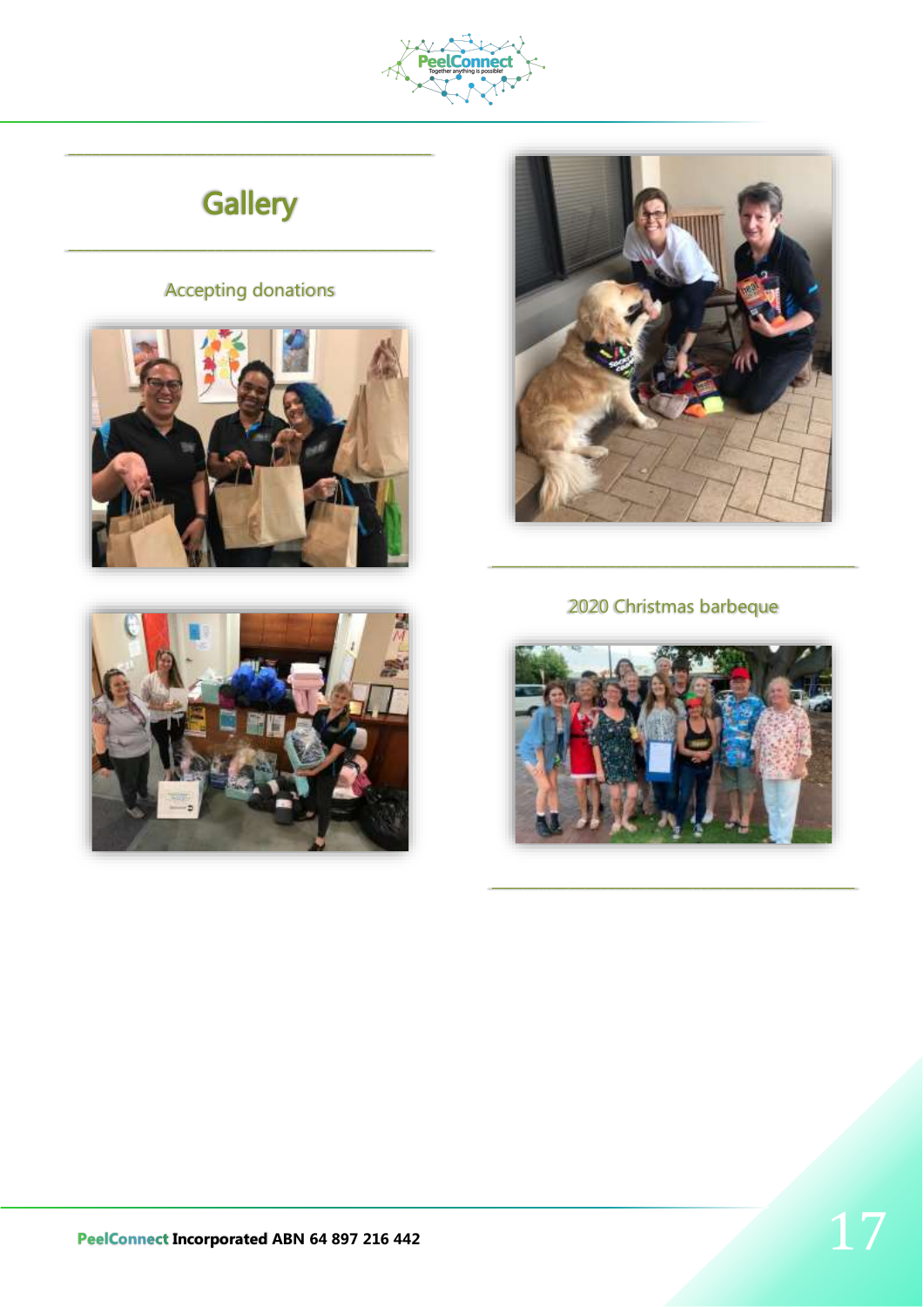

# **Gallery**

## **Accepting donations**







## 2020 Christmas barbeque

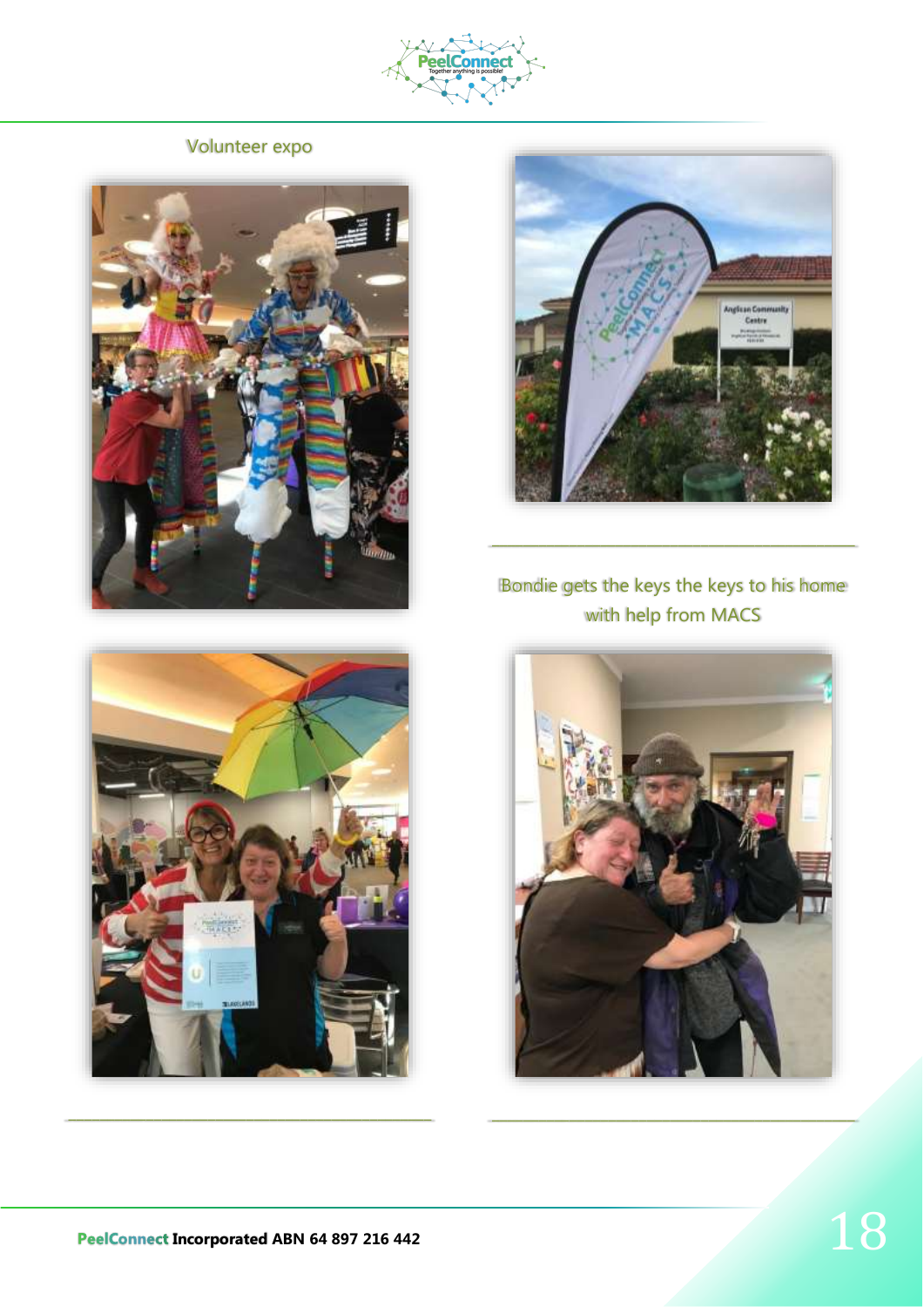

Volunteer expo







Bondie gets the keys the keys to his home with help from MACS



\_\_\_\_\_\_\_\_\_\_\_\_\_\_\_\_\_\_\_\_\_\_\_\_\_\_\_\_\_\_\_\_\_\_\_\_\_\_\_\_\_\_\_\_\_\_\_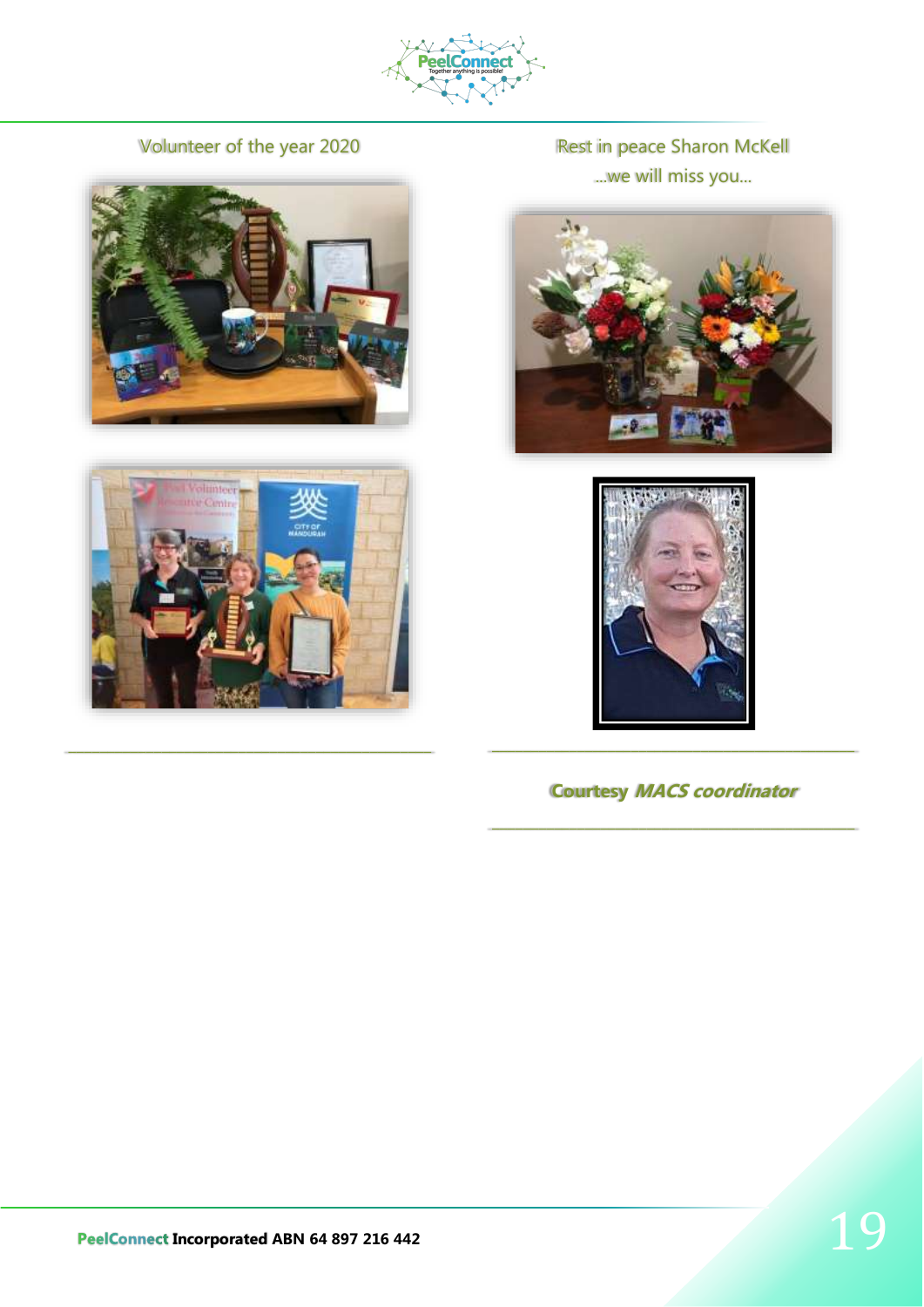

Volunteer of the year 2020





\_\_\_\_\_\_\_\_\_\_\_\_\_\_\_\_\_\_\_\_\_\_\_\_\_\_\_\_\_\_\_\_\_\_\_\_\_\_\_\_\_\_\_\_\_\_\_

Rest in peace Sharon McKell ...we will miss you...





**Courtesy MACS coordinator**